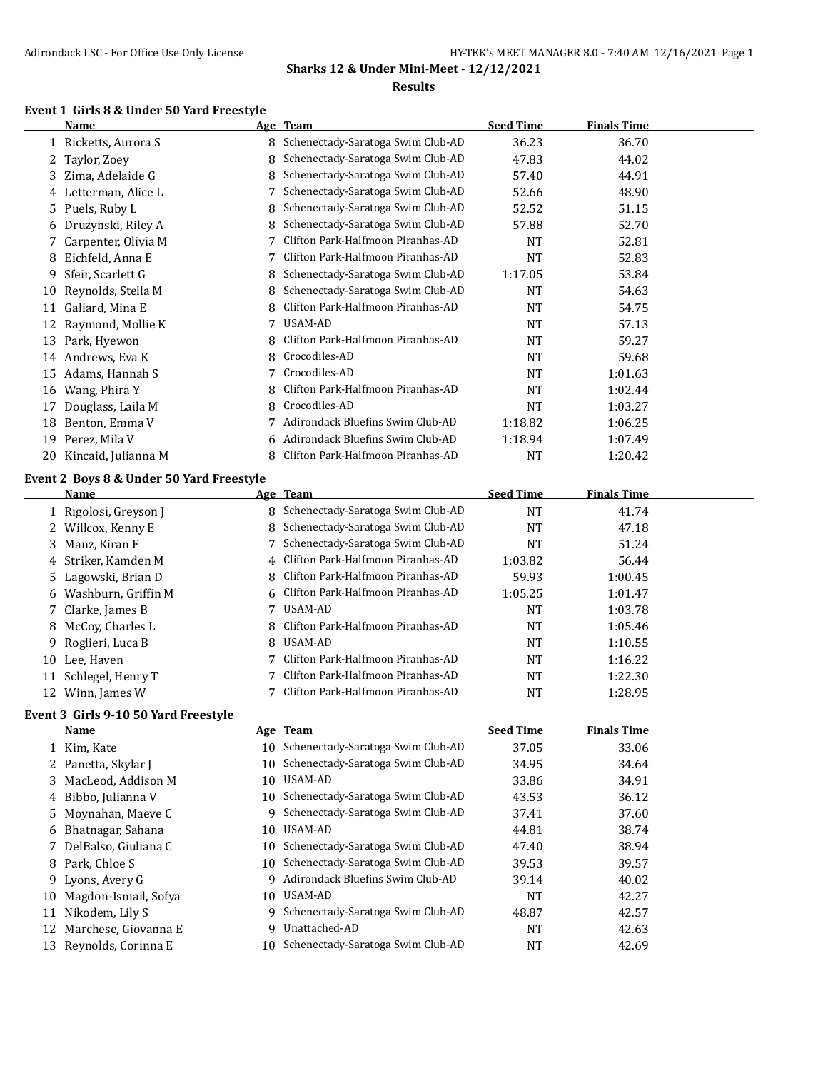#### **Event 1 Girls 8 & Under 50 Yard Freestyle**

|    | Name                  |    | Age Team                          | <b>Seed Time</b> | <b>Finals Time</b> |  |
|----|-----------------------|----|-----------------------------------|------------------|--------------------|--|
|    | Ricketts, Aurora S    | 8  | Schenectady-Saratoga Swim Club-AD | 36.23            | 36.70              |  |
|    | Taylor, Zoey          | 8  | Schenectady-Saratoga Swim Club-AD | 47.83            | 44.02              |  |
| 3  | Zima, Adelaide G      | 8  | Schenectady-Saratoga Swim Club-AD | 57.40            | 44.91              |  |
| 4  | Letterman, Alice L    |    | Schenectady-Saratoga Swim Club-AD | 52.66            | 48.90              |  |
| 5. | Puels, Ruby L         | 8  | Schenectady-Saratoga Swim Club-AD | 52.52            | 51.15              |  |
| 6  | Druzynski, Riley A    | 8  | Schenectady-Saratoga Swim Club-AD | 57.88            | 52.70              |  |
|    | 7 Carpenter, Olivia M |    | Clifton Park-Halfmoon Piranhas-AD | NT               | 52.81              |  |
| 8  | Eichfeld, Anna E      |    | Clifton Park-Halfmoon Piranhas-AD | <b>NT</b>        | 52.83              |  |
| 9  | Sfeir, Scarlett G     | 8  | Schenectady-Saratoga Swim Club-AD | 1:17.05          | 53.84              |  |
| 10 | Reynolds, Stella M    | 8  | Schenectady-Saratoga Swim Club-AD | <b>NT</b>        | 54.63              |  |
| 11 | Galiard, Mina E       |    | Clifton Park-Halfmoon Piranhas-AD | <b>NT</b>        | 54.75              |  |
| 12 | Raymond, Mollie K     | 7  | USAM-AD                           | <b>NT</b>        | 57.13              |  |
| 13 | Park, Hyewon          |    | Clifton Park-Halfmoon Piranhas-AD | NT               | 59.27              |  |
| 14 | Andrews, Eva K        | 8  | Crocodiles-AD                     | <b>NT</b>        | 59.68              |  |
| 15 | Adams, Hannah S       |    | Crocodiles-AD                     | <b>NT</b>        | 1:01.63            |  |
| 16 | Wang, Phira Y         |    | Clifton Park-Halfmoon Piranhas-AD | <b>NT</b>        | 1:02.44            |  |
| 17 | Douglass, Laila M     | 8  | Crocodiles-AD                     | NT               | 1:03.27            |  |
| 18 | Benton, Emma V        |    | Adirondack Bluefins Swim Club-AD  | 1:18.82          | 1:06.25            |  |
| 19 | Perez, Mila V         | 6. | Adirondack Bluefins Swim Club-AD  | 1:18.94          | 1:07.49            |  |
| 20 | Kincaid, Julianna M   | 8  | Clifton Park-Halfmoon Piranhas-AD | NT               | 1:20.42            |  |

## **Event 2 Boys 8 & Under 50 Yard Freestyle**

|    | Name                  | Age Team                            | <b>Seed Time</b> | <b>Finals Time</b> |  |
|----|-----------------------|-------------------------------------|------------------|--------------------|--|
|    | 1 Rigolosi, Greyson J | 8 Schenectady-Saratoga Swim Club-AD | <b>NT</b>        | 41.74              |  |
|    | 2 Willcox, Kenny E    | 8 Schenectady-Saratoga Swim Club-AD | NT               | 47.18              |  |
|    | 3 Manz, Kiran F       | Schenectady-Saratoga Swim Club-AD   | NT               | 51.24              |  |
|    | 4 Striker, Kamden M   | 4 Clifton Park-Halfmoon Piranhas-AD | 1:03.82          | 56.44              |  |
|    | 5 Lagowski, Brian D   | 8 Clifton Park-Halfmoon Piranhas-AD | 59.93            | 1:00.45            |  |
|    | 6 Washburn, Griffin M | 6 Clifton Park-Halfmoon Piranhas-AD | 1:05.25          | 1:01.47            |  |
|    | 7 Clarke, James B     | 7 USAM-AD                           | <b>NT</b>        | 1:03.78            |  |
|    | 8 McCoy, Charles L    | 8 Clifton Park-Halfmoon Piranhas-AD | <b>NT</b>        | 1:05.46            |  |
|    | 9 Roglieri, Luca B    | 8 USAM-AD                           | <b>NT</b>        | 1:10.55            |  |
|    | 10 Lee, Haven         | 7 Clifton Park-Halfmoon Piranhas-AD | <b>NT</b>        | 1:16.22            |  |
| 11 | Schlegel, Henry T     | 7 Clifton Park-Halfmoon Piranhas-AD | NT               | 1:22.30            |  |
|    | 12 Winn, James W      | Clifton Park-Halfmoon Piranhas-AD   | NT               | 1:28.95            |  |

## **Event 3 Girls 9-10 50 Yard Freestyle**

|    | Name                   |     | Age Team                             | <b>Seed Time</b> | <b>Finals Time</b> |  |
|----|------------------------|-----|--------------------------------------|------------------|--------------------|--|
|    | 1 Kim, Kate            |     | 10 Schenectady-Saratoga Swim Club-AD | 37.05            | 33.06              |  |
|    | 2 Panetta, Skylar J    | 10  | Schenectady-Saratoga Swim Club-AD    | 34.95            | 34.64              |  |
|    | 3 MacLeod, Addison M   | 10  | USAM-AD                              | 33.86            | 34.91              |  |
|    | 4 Bibbo, Julianna V    |     | 10 Schenectady-Saratoga Swim Club-AD | 43.53            | 36.12              |  |
|    | 5 Moynahan, Maeye C    | 9   | Schenectady-Saratoga Swim Club-AD    | 37.41            | 37.60              |  |
|    | 6 Bhatnagar, Sahana    | 10  | USAM-AD                              | 44.81            | 38.74              |  |
|    | 7 DelBalso, Giuliana C |     | 10 Schenectady-Saratoga Swim Club-AD | 47.40            | 38.94              |  |
|    | 8 Park, Chloe S        | 10  | Schenectady-Saratoga Swim Club-AD    | 39.53            | 39.57              |  |
|    | 9 Lyons, Avery G       | 9   | Adirondack Bluefins Swim Club-AD     | 39.14            | 40.02              |  |
| 10 | Magdon-Ismail, Sofya   | 10. | USAM-AD                              | <b>NT</b>        | 42.27              |  |
| 11 | Nikodem, Lily S        | 9   | Schenectady-Saratoga Swim Club-AD    | 48.87            | 42.57              |  |
| 12 | Marchese, Giovanna E   | q   | Unattached-AD                        | NT               | 42.63              |  |
| 13 | Reynolds, Corinna E    | 10  | Schenectady-Saratoga Swim Club-AD    | <b>NT</b>        | 42.69              |  |
|    |                        |     |                                      |                  |                    |  |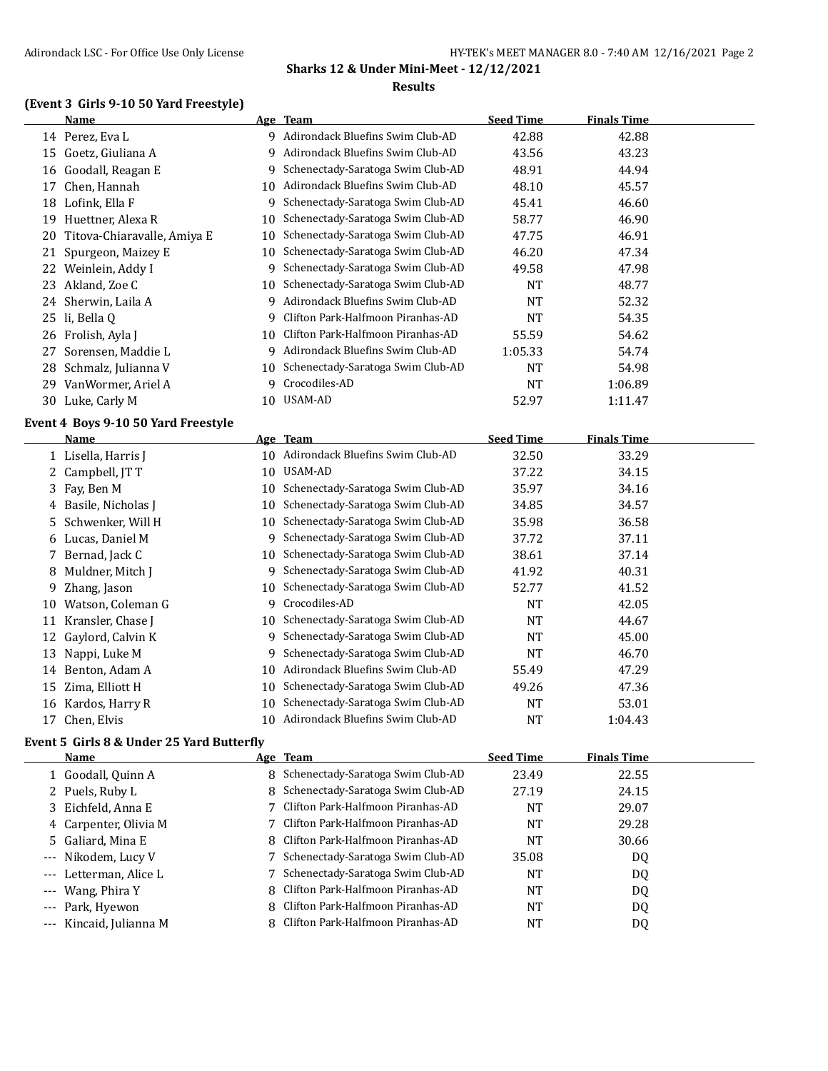## **(Event 3 Girls 9-10 50 Yard Freestyle)**

|    | <b>Name</b>                                 |    | Age Team                            | <b>Seed Time</b> | <b>Finals Time</b> |  |
|----|---------------------------------------------|----|-------------------------------------|------------------|--------------------|--|
|    | 14 Perez, Eva L                             |    | 9 Adirondack Bluefins Swim Club-AD  | 42.88            | 42.88              |  |
|    | 15 Goetz, Giuliana A                        | 9  | Adirondack Bluefins Swim Club-AD    | 43.56            | 43.23              |  |
| 16 | Goodall, Reagan E                           | 9  | Schenectady-Saratoga Swim Club-AD   | 48.91            | 44.94              |  |
| 17 | Chen, Hannah                                | 10 | Adirondack Bluefins Swim Club-AD    | 48.10            | 45.57              |  |
|    | 18 Lofink, Ella F                           | 9  | Schenectady-Saratoga Swim Club-AD   | 45.41            | 46.60              |  |
| 19 | Huettner, Alexa R                           | 10 | Schenectady-Saratoga Swim Club-AD   | 58.77            | 46.90              |  |
| 20 | Titova-Chiaravalle, Amiya E                 | 10 | Schenectady-Saratoga Swim Club-AD   | 47.75            | 46.91              |  |
| 21 | Spurgeon, Maizey E                          | 10 | Schenectady-Saratoga Swim Club-AD   | 46.20            | 47.34              |  |
|    | 22 Weinlein, Addy I                         | 9  | Schenectady-Saratoga Swim Club-AD   | 49.58            | 47.98              |  |
| 23 | Akland, Zoe C                               | 10 | Schenectady-Saratoga Swim Club-AD   | <b>NT</b>        | 48.77              |  |
|    | 24 Sherwin, Laila A                         | 9  | Adirondack Bluefins Swim Club-AD    | <b>NT</b>        | 52.32              |  |
|    | 25 li, Bella Q                              | 9  | Clifton Park-Halfmoon Piranhas-AD   | <b>NT</b>        | 54.35              |  |
|    | 26 Frolish, Ayla J                          | 10 | Clifton Park-Halfmoon Piranhas-AD   | 55.59            | 54.62              |  |
| 27 | Sorensen, Maddie L                          | 9  | Adirondack Bluefins Swim Club-AD    | 1:05.33          | 54.74              |  |
|    | 28 Schmalz, Julianna V                      | 10 | Schenectady-Saratoga Swim Club-AD   | <b>NT</b>        | 54.98              |  |
| 29 | VanWormer, Ariel A                          | 9  | Crocodiles-AD                       | <b>NT</b>        | 1:06.89            |  |
|    | 30 Luke, Carly M                            | 10 | USAM-AD                             | 52.97            | 1:11.47            |  |
|    |                                             |    |                                     |                  |                    |  |
|    |                                             |    |                                     |                  |                    |  |
|    | Event 4 Boys 9-10 50 Yard Freestyle<br>Name |    | Age Team                            |                  |                    |  |
|    |                                             |    | 10 Adirondack Bluefins Swim Club-AD | <b>Seed Time</b> | <b>Finals Time</b> |  |
| 2  | 1 Lisella, Harris J                         | 10 | USAM-AD                             | 32.50            | 33.29              |  |
| 3  | Campbell, JT T                              | 10 | Schenectady-Saratoga Swim Club-AD   | 37.22            | 34.15              |  |
|    | Fay, Ben M                                  | 10 | Schenectady-Saratoga Swim Club-AD   | 35.97<br>34.85   | 34.16<br>34.57     |  |
| 5  | 4 Basile, Nicholas J<br>Schwenker, Will H   | 10 | Schenectady-Saratoga Swim Club-AD   | 35.98            | 36.58              |  |
| 6  |                                             | 9  | Schenectady-Saratoga Swim Club-AD   | 37.72            | 37.11              |  |
| 7  | Lucas, Daniel M<br>Bernad, Jack C           | 10 | Schenectady-Saratoga Swim Club-AD   | 38.61            | 37.14              |  |
| 8  | Muldner, Mitch J                            | 9  | Schenectady-Saratoga Swim Club-AD   | 41.92            | 40.31              |  |
| 9  | Zhang, Jason                                | 10 | Schenectady-Saratoga Swim Club-AD   | 52.77            | 41.52              |  |
| 10 | Watson, Coleman G                           | 9  | Crocodiles-AD                       | <b>NT</b>        | 42.05              |  |
|    | 11 Kransler, Chase J                        | 10 | Schenectady-Saratoga Swim Club-AD   | <b>NT</b>        | 44.67              |  |
| 12 | Gaylord, Calvin K                           | 9  | Schenectady-Saratoga Swim Club-AD   | <b>NT</b>        | 45.00              |  |
| 13 | Nappi, Luke M                               | 9  | Schenectady-Saratoga Swim Club-AD   | <b>NT</b>        | 46.70              |  |
|    | 14 Benton, Adam A                           | 10 | Adirondack Bluefins Swim Club-AD    | 55.49            | 47.29              |  |
| 15 | Zima, Elliott H                             | 10 | Schenectady-Saratoga Swim Club-AD   | 49.26            | 47.36              |  |
|    | 16 Kardos, Harry R                          | 10 | Schenectady-Saratoga Swim Club-AD   | <b>NT</b>        | 53.01              |  |

## **Event 5 Girls 8 & Under 25 Yard Butterfly**

| <b>Name</b>             | Age Team                            | <b>Seed Time</b> | <b>Finals Time</b> |  |
|-------------------------|-------------------------------------|------------------|--------------------|--|
| 1 Goodall, Quinn A      | 8 Schenectady-Saratoga Swim Club-AD | 23.49            | 22.55              |  |
| 2 Puels, Ruby L         | 8 Schenectady-Saratoga Swim Club-AD | 27.19            | 24.15              |  |
| 3 Eichfeld, Anna E      | 7 Clifton Park-Halfmoon Piranhas-AD | NT               | 29.07              |  |
| 4 Carpenter, Olivia M   | 7 Clifton Park-Halfmoon Piranhas-AD | <b>NT</b>        | 29.28              |  |
| 5 Galiard, Mina E       | 8 Clifton Park-Halfmoon Piranhas-AD | <b>NT</b>        | 30.66              |  |
| --- Nikodem, Lucy V     | 7 Schenectady-Saratoga Swim Club-AD | 35.08            | DQ                 |  |
| --- Letterman, Alice L  | 7 Schenectady-Saratoga Swim Club-AD | <b>NT</b>        | DQ                 |  |
| --- Wang, Phira Y       | 8 Clifton Park-Halfmoon Piranhas-AD | <b>NT</b>        | DQ                 |  |
| --- Park, Hyewon        | 8 Clifton Park-Halfmoon Piranhas-AD | <b>NT</b>        | DQ                 |  |
| --- Kincaid, Julianna M | 8 Clifton Park-Halfmoon Piranhas-AD | <b>NT</b>        | DQ                 |  |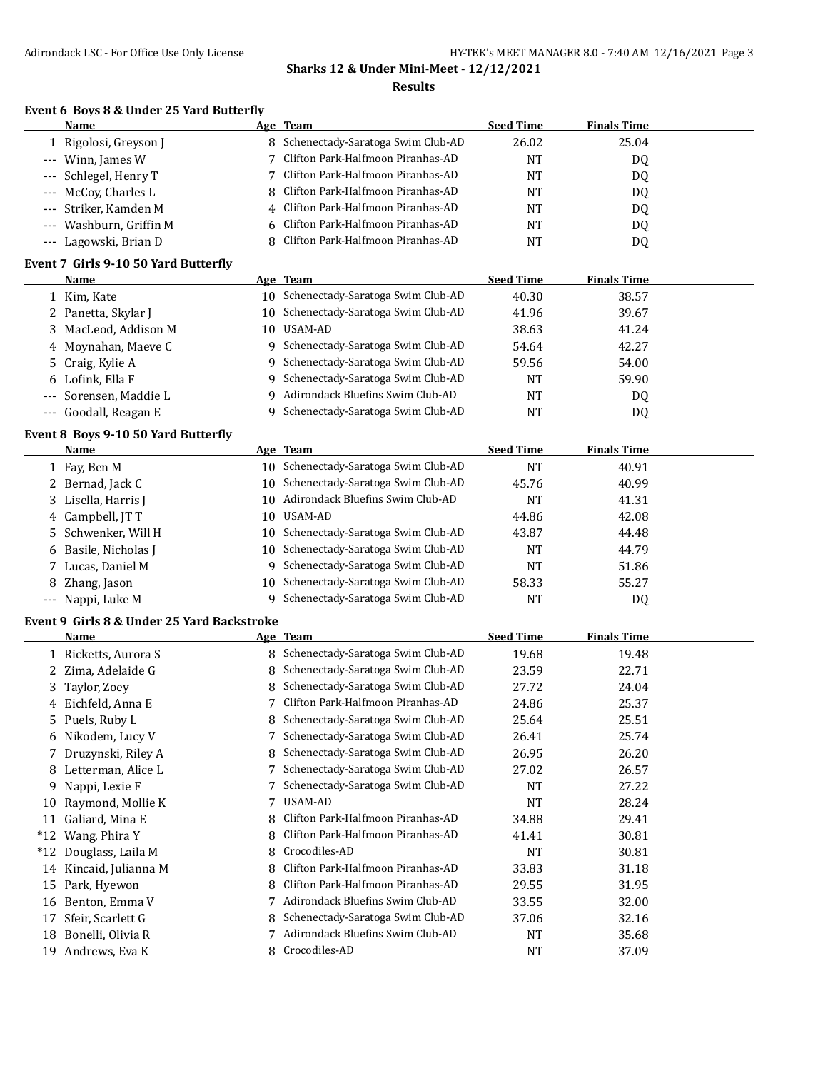#### **Results**

#### **Event 6 Boys 8 & Under 25 Yard Butterfly**

|         | <b>Name</b>                          |    | Age Team                          | <b>Seed Time</b> | <b>Finals Time</b> |  |
|---------|--------------------------------------|----|-----------------------------------|------------------|--------------------|--|
|         | Rigolosi, Greyson J                  | 8  | Schenectady-Saratoga Swim Club-AD | 26.02            | 25.04              |  |
|         | Winn, James W                        |    | Clifton Park-Halfmoon Piranhas-AD | <b>NT</b>        | DQ                 |  |
| $---$   | Schlegel, Henry T                    |    | Clifton Park-Halfmoon Piranhas-AD | NT               | DQ                 |  |
| $- - -$ | McCoy, Charles L                     | 8  | Clifton Park-Halfmoon Piranhas-AD | <b>NT</b>        | DQ.                |  |
| $---$   | Striker, Kamden M                    | 4  | Clifton Park-Halfmoon Piranhas-AD | <b>NT</b>        | DQ                 |  |
| $---$   | Washburn, Griffin M                  | 6  | Clifton Park-Halfmoon Piranhas-AD | <b>NT</b>        | DQ                 |  |
| $---$   | Lagowski, Brian D                    | 8  | Clifton Park-Halfmoon Piranhas-AD | <b>NT</b>        | DQ                 |  |
|         | Event 7 Girls 9-10 50 Yard Butterfly |    |                                   |                  |                    |  |
|         | <b>Name</b>                          |    | Age Team                          | <b>Seed Time</b> | <b>Finals Time</b> |  |
|         | 1 Kim, Kate                          | 10 | Schenectady-Saratoga Swim Club-AD | 40.30            | 38.57              |  |
| 2.      | Panetta, Skylar J                    | 10 | Schenectady-Saratoga Swim Club-AD | 41.96            | 39.67              |  |
| 3.      | MacLeod, Addison M                   | 10 | USAM-AD                           | 38.63            | 41.24              |  |
| 4       | Moynahan, Maeve C                    | 9  | Schenectady-Saratoga Swim Club-AD | 54.64            | 42.27              |  |
| 5       | Craig, Kylie A                       | 9  | Schenectady-Saratoga Swim Club-AD | 59.56            | 54.00              |  |
| 6       | Lofink, Ella F                       | 9  | Schenectady-Saratoga Swim Club-AD | NT               | 59.90              |  |
| $---$   | Sorensen, Maddie L                   | q  | Adirondack Bluefins Swim Club-AD  | <b>NT</b>        | DQ                 |  |
| $---$   | Goodall, Reagan E                    | 9  | Schenectady-Saratoga Swim Club-AD | <b>NT</b>        | DQ                 |  |
|         | Event 8 Boys 9-10 50 Yard Butterfly  |    |                                   |                  |                    |  |
|         | Name                                 |    | Age Team                          | <b>Seed Time</b> | <b>Finals Time</b> |  |
|         | 1 Fay, Ben M                         | 10 | Schenectady-Saratoga Swim Club-AD | <b>NT</b>        | 40.91              |  |
| 2       | Bernad, Jack C                       | 10 | Schenectady-Saratoga Swim Club-AD | 45.76            | 40.99              |  |
| 3.      | Lisella, Harris J                    | 10 | Adirondack Bluefins Swim Club-AD  | <b>NT</b>        | 41.31              |  |
| 4       | Campbell, JTT                        | 10 | USAM-AD                           | 44.86            | 42.08              |  |
| 5.      | Schwenker, Will H                    | 10 | Schenectady-Saratoga Swim Club-AD | 43.87            | 44.48              |  |
| 6       | Basile, Nicholas J                   | 10 | Schenectady-Saratoga Swim Club-AD | <b>NT</b>        | 44.79              |  |
|         | 7 Lucas, Daniel M                    | 9  | Schenectady-Saratoga Swim Club-AD | <b>NT</b>        | 51.86              |  |

#### **Event 9 Girls 8 & Under 25 Yard Backstroke**

|       | Name                 |    | Age Team                          | <b>Seed Time</b> | <b>Finals Time</b> |
|-------|----------------------|----|-----------------------------------|------------------|--------------------|
|       | 1 Ricketts, Aurora S | 8  | Schenectady-Saratoga Swim Club-AD | 19.68            | 19.48              |
|       | 2 Zima, Adelaide G   | 8  | Schenectady-Saratoga Swim Club-AD | 23.59            | 22.71              |
| 3     | Taylor, Zoey         |    | Schenectady-Saratoga Swim Club-AD | 27.72            | 24.04              |
| 4     | Eichfeld, Anna E     |    | Clifton Park-Halfmoon Piranhas-AD | 24.86            | 25.37              |
| 5.    | Puels, Ruby L        | 8. | Schenectady-Saratoga Swim Club-AD | 25.64            | 25.51              |
| 6     | Nikodem, Lucy V      |    | Schenectady-Saratoga Swim Club-AD | 26.41            | 25.74              |
|       | Druzynski, Riley A   | 8  | Schenectady-Saratoga Swim Club-AD | 26.95            | 26.20              |
| 8     | Letterman, Alice L   |    | Schenectady-Saratoga Swim Club-AD | 27.02            | 26.57              |
| 9     | Nappi, Lexie F       |    | Schenectady-Saratoga Swim Club-AD | <b>NT</b>        | 27.22              |
| 10    | Raymond, Mollie K    |    | USAM-AD                           | <b>NT</b>        | 28.24              |
| 11    | Galiard, Mina E      | 8  | Clifton Park-Halfmoon Piranhas-AD | 34.88            | 29.41              |
| $*12$ | Wang, Phira Y        |    | Clifton Park-Halfmoon Piranhas-AD | 41.41            | 30.81              |
| $*12$ | Douglass, Laila M    | 8  | Crocodiles-AD                     | <b>NT</b>        | 30.81              |
| 14    | Kincaid, Julianna M  | 8  | Clifton Park-Halfmoon Piranhas-AD | 33.83            | 31.18              |
| 15    | Park, Hyewon         |    | Clifton Park-Halfmoon Piranhas-AD | 29.55            | 31.95              |
| 16    | Benton, Emma V       |    | Adirondack Bluefins Swim Club-AD  | 33.55            | 32.00              |
| 17    | Sfeir, Scarlett G    | 8  | Schenectady-Saratoga Swim Club-AD | 37.06            | 32.16              |
| 18    | Bonelli, Olivia R    |    | Adirondack Bluefins Swim Club-AD  | <b>NT</b>        | 35.68              |
| 19    | Andrews, Eva K       | 8. | Crocodiles-AD                     | <b>NT</b>        | 37.09              |

8 Zhang, Jason 10 Schenectady-Saratoga Swim Club-AD 58.33 55.27 --- Nappi, Luke M 9 Schenectady-Saratoga Swim Club-AD NT DQ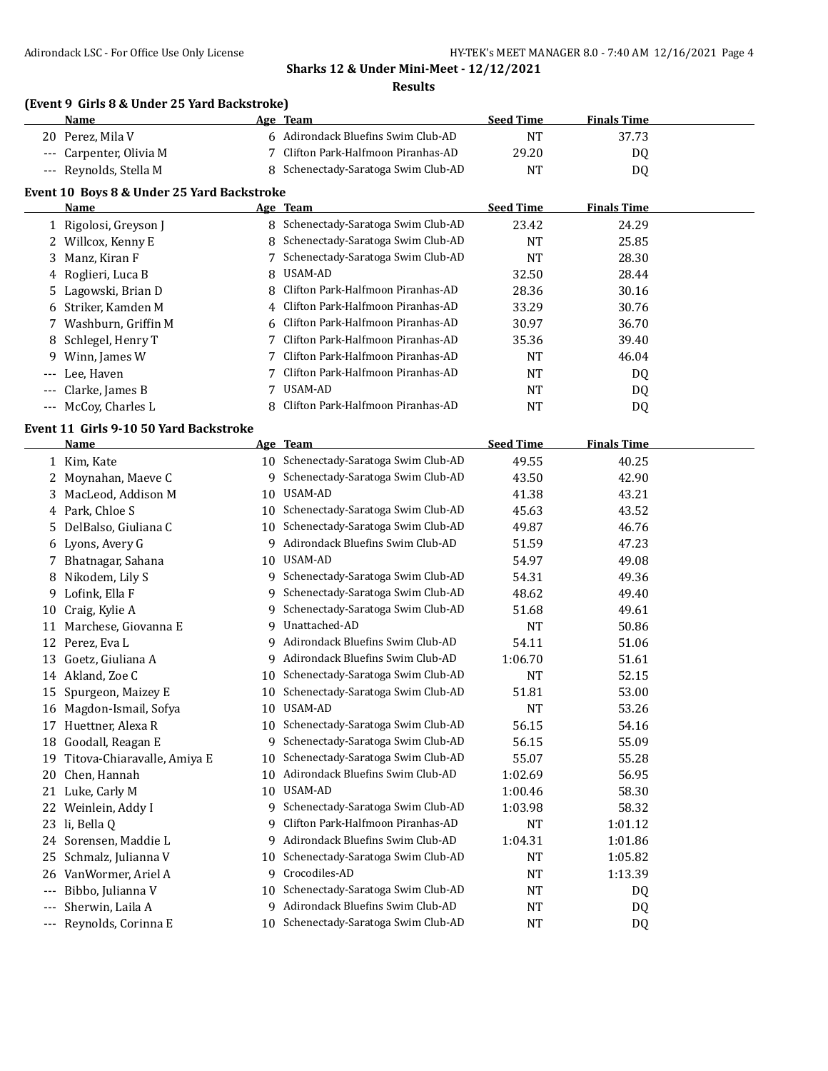#### **Results**

## **(Event 9 Girls 8 & Under 25 Yard Backstroke)**

|                                            | Name                  |   | Age Team                            | <b>Seed Time</b> | <b>Finals Time</b> |  |  |
|--------------------------------------------|-----------------------|---|-------------------------------------|------------------|--------------------|--|--|
| 20                                         | Perez, Mila V         |   | 6 Adirondack Bluefins Swim Club-AD  | <b>NT</b>        | 37.73              |  |  |
| $---$                                      | Carpenter, Olivia M   |   | Clifton Park-Halfmoon Piranhas-AD   | 29.20            | DQ                 |  |  |
| $---$                                      | Reynolds, Stella M    | 8 | Schenectady-Saratoga Swim Club-AD   | <b>NT</b>        | DQ                 |  |  |
| Event 10 Boys 8 & Under 25 Yard Backstroke |                       |   |                                     |                  |                    |  |  |
|                                            | Name                  |   | Age Team                            | <b>Seed Time</b> | <b>Finals Time</b> |  |  |
|                                            | 1 Rigolosi, Greyson J | 8 | Schenectady-Saratoga Swim Club-AD   | 23.42            | 24.29              |  |  |
|                                            | 2 Willcox, Kenny E    | 8 | Schenectady-Saratoga Swim Club-AD   | <b>NT</b>        | 25.85              |  |  |
|                                            | 3 Manz, Kiran F       |   | 7 Schenectady-Saratoga Swim Club-AD | <b>NT</b>        | 28.30              |  |  |
|                                            | 4 Roglieri, Luca B    | 8 | USAM-AD                             | 32.50            | 28.44              |  |  |
|                                            | 5 Lagowski, Brian D   | 8 | Clifton Park-Halfmoon Piranhas-AD   | 28.36            | 30.16              |  |  |
| 6                                          | Striker, Kamden M     | 4 | Clifton Park-Halfmoon Piranhas-AD   | 33.29            | 30.76              |  |  |
| 7.                                         | Washburn, Griffin M   | 6 | Clifton Park-Halfmoon Piranhas-AD   | 30.97            | 36.70              |  |  |
|                                            | 8 Schlegel, Henry T   |   | Clifton Park-Halfmoon Piranhas-AD   | 35.36            | 39.40              |  |  |
| 9                                          | Winn, James W         |   | Clifton Park-Halfmoon Piranhas-AD   | <b>NT</b>        | 46.04              |  |  |
| $---$                                      | Lee, Haven            |   | Clifton Park-Halfmoon Piranhas-AD   | NT               | DQ.                |  |  |
| $---$                                      | Clarke, James B       |   | USAM-AD                             | <b>NT</b>        | DQ                 |  |  |
| $---$                                      | McCoy, Charles L      |   | Clifton Park-Halfmoon Piranhas-AD   | NT               | DQ                 |  |  |
|                                            |                       |   |                                     |                  |                    |  |  |

#### **Event 11 Girls 9-10 50 Yard Backstroke**

|             | <b>Name</b>                 |    | Age Team                             | <b>Seed Time</b> | <b>Finals Time</b> |  |
|-------------|-----------------------------|----|--------------------------------------|------------------|--------------------|--|
|             | 1 Kim, Kate                 |    | 10 Schenectady-Saratoga Swim Club-AD | 49.55            | 40.25              |  |
| 2           | Moynahan, Maeve C           | 9  | Schenectady-Saratoga Swim Club-AD    | 43.50            | 42.90              |  |
| 3           | MacLeod, Addison M          | 10 | USAM-AD                              | 41.38            | 43.21              |  |
|             | 4 Park, Chloe S             | 10 | Schenectady-Saratoga Swim Club-AD    | 45.63            | 43.52              |  |
| 5.          | DelBalso, Giuliana C        | 10 | Schenectady-Saratoga Swim Club-AD    | 49.87            | 46.76              |  |
| 6           | Lyons, Avery G              | 9  | Adirondack Bluefins Swim Club-AD     | 51.59            | 47.23              |  |
|             | Bhatnagar, Sahana           | 10 | USAM-AD                              | 54.97            | 49.08              |  |
| 8           | Nikodem, Lily S             | 9. | Schenectady-Saratoga Swim Club-AD    | 54.31            | 49.36              |  |
| 9           | Lofink, Ella F              | 9  | Schenectady-Saratoga Swim Club-AD    | 48.62            | 49.40              |  |
| 10          | Craig, Kylie A              | 9  | Schenectady-Saratoga Swim Club-AD    | 51.68            | 49.61              |  |
| 11          | Marchese, Giovanna E        | 9  | Unattached-AD                        | <b>NT</b>        | 50.86              |  |
| 12          | Perez, Eva L                | 9  | Adirondack Bluefins Swim Club-AD     | 54.11            | 51.06              |  |
| 13          | Goetz, Giuliana A           | 9  | Adirondack Bluefins Swim Club-AD     | 1:06.70          | 51.61              |  |
| 14          | Akland, Zoe C               | 10 | Schenectady-Saratoga Swim Club-AD    | <b>NT</b>        | 52.15              |  |
| 15          | Spurgeon, Maizey E          | 10 | Schenectady-Saratoga Swim Club-AD    | 51.81            | 53.00              |  |
| 16          | Magdon-Ismail, Sofya        | 10 | USAM-AD                              | <b>NT</b>        | 53.26              |  |
| 17          | Huettner, Alexa R           | 10 | Schenectady-Saratoga Swim Club-AD    | 56.15            | 54.16              |  |
| 18          | Goodall, Reagan E           | 9  | Schenectady-Saratoga Swim Club-AD    | 56.15            | 55.09              |  |
| 19          | Titova-Chiaravalle, Amiya E | 10 | Schenectady-Saratoga Swim Club-AD    | 55.07            | 55.28              |  |
| 20          | Chen, Hannah                | 10 | Adirondack Bluefins Swim Club-AD     | 1:02.69          | 56.95              |  |
| 21          | Luke, Carly M               | 10 | USAM-AD                              | 1:00.46          | 58.30              |  |
| 22          | Weinlein, Addy I            | q  | Schenectady-Saratoga Swim Club-AD    | 1:03.98          | 58.32              |  |
| 23          | li, Bella Q                 | 9  | Clifton Park-Halfmoon Piranhas-AD    | <b>NT</b>        | 1:01.12            |  |
| 24          | Sorensen, Maddie L          | 9  | Adirondack Bluefins Swim Club-AD     | 1:04.31          | 1:01.86            |  |
| 25          | Schmalz, Julianna V         | 10 | Schenectady-Saratoga Swim Club-AD    | <b>NT</b>        | 1:05.82            |  |
| 26          | VanWormer, Ariel A          | 9  | Crocodiles-AD                        | <b>NT</b>        | 1:13.39            |  |
| $---$       | Bibbo, Julianna V           | 10 | Schenectady-Saratoga Swim Club-AD    | NT               | DQ                 |  |
| $---$       | Sherwin, Laila A            | 9  | Adirondack Bluefins Swim Club-AD     | <b>NT</b>        | DQ                 |  |
| $-\, -\, -$ | Reynolds, Corinna E         |    | 10 Schenectady-Saratoga Swim Club-AD | NT               | DQ                 |  |
|             |                             |    |                                      |                  |                    |  |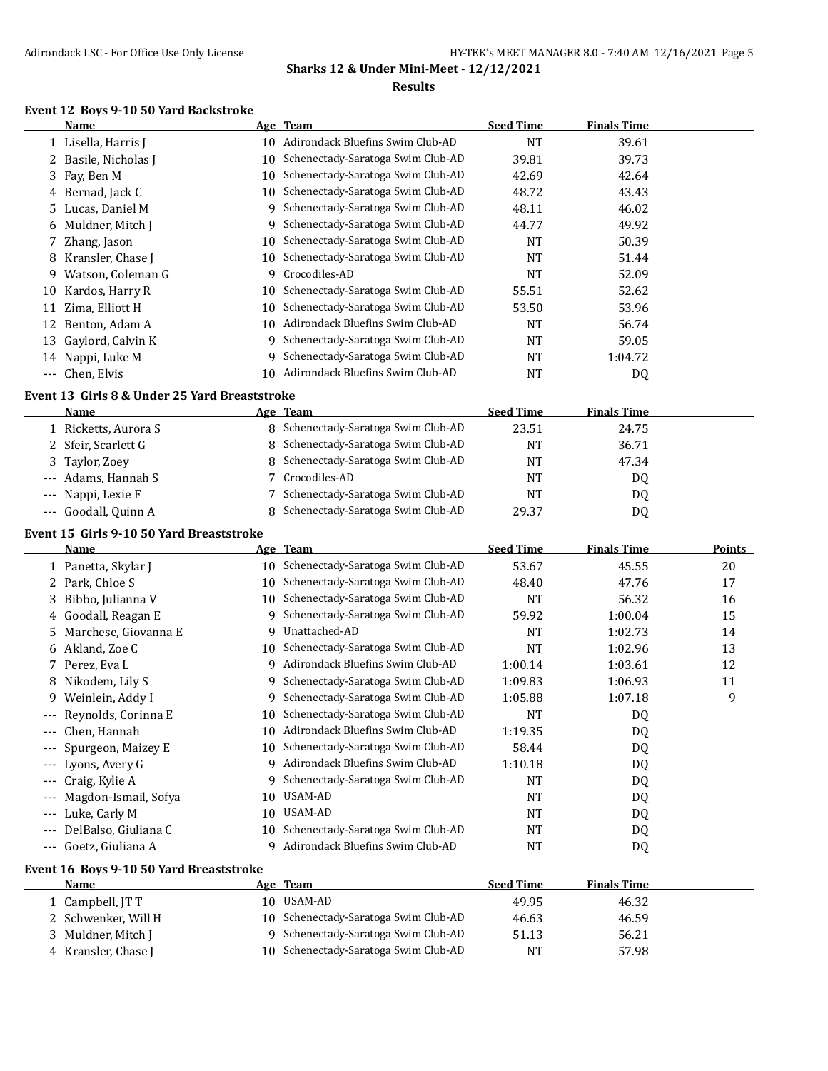#### **Event 12 Boys 9-10 50 Yard Backstroke**

|     | Name                                          |    | Age Team                                                                  | <b>Seed Time</b> | <b>Finals Time</b> |               |
|-----|-----------------------------------------------|----|---------------------------------------------------------------------------|------------------|--------------------|---------------|
|     | 1 Lisella, Harris J                           |    | 10 Adirondack Bluefins Swim Club-AD                                       | <b>NT</b>        | 39.61              |               |
| 2   | Basile, Nicholas J                            | 10 | Schenectady-Saratoga Swim Club-AD                                         | 39.81            | 39.73              |               |
| 3   | Fay, Ben M                                    | 10 | Schenectady-Saratoga Swim Club-AD                                         | 42.69            | 42.64              |               |
| 4   | Bernad, Jack C                                | 10 | Schenectady-Saratoga Swim Club-AD                                         | 48.72            | 43.43              |               |
| 5   | Lucas, Daniel M                               | 9  | Schenectady-Saratoga Swim Club-AD                                         | 48.11            | 46.02              |               |
| 6   | Muldner, Mitch J                              | 9  | Schenectady-Saratoga Swim Club-AD                                         | 44.77            | 49.92              |               |
| 7   | Zhang, Jason                                  | 10 | Schenectady-Saratoga Swim Club-AD                                         | NT               | 50.39              |               |
| 8   | Kransler, Chase J                             | 10 | Schenectady-Saratoga Swim Club-AD                                         | <b>NT</b>        | 51.44              |               |
| 9   | Watson, Coleman G                             | 9  | Crocodiles-AD                                                             | <b>NT</b>        | 52.09              |               |
| 10  | Kardos, Harry R                               | 10 | Schenectady-Saratoga Swim Club-AD                                         | 55.51            | 52.62              |               |
|     | 11 Zima, Elliott H                            | 10 | Schenectady-Saratoga Swim Club-AD                                         | 53.50            | 53.96              |               |
| 12  | Benton, Adam A                                |    | 10 Adirondack Bluefins Swim Club-AD                                       | NT               | 56.74              |               |
| 13  | Gaylord, Calvin K                             | 9  | Schenectady-Saratoga Swim Club-AD                                         | <b>NT</b>        | 59.05              |               |
|     | 14 Nappi, Luke M                              | 9  | Schenectady-Saratoga Swim Club-AD                                         | NT               | 1:04.72            |               |
|     | --- Chen, Elvis                               |    | 10 Adirondack Bluefins Swim Club-AD                                       | <b>NT</b>        | <b>DQ</b>          |               |
|     |                                               |    |                                                                           |                  |                    |               |
|     | Event 13 Girls 8 & Under 25 Yard Breaststroke |    |                                                                           |                  |                    |               |
|     | Name                                          |    | Age Team<br>8 Schenectady-Saratoga Swim Club-AD                           | <b>Seed Time</b> | <b>Finals Time</b> |               |
|     | 1 Ricketts, Aurora S                          |    |                                                                           | 23.51            | 24.75              |               |
|     | 2 Sfeir, Scarlett G                           |    | 8 Schenectady-Saratoga Swim Club-AD                                       | <b>NT</b>        | 36.71              |               |
| 3   | Taylor, Zoey                                  |    | 8 Schenectady-Saratoga Swim Club-AD                                       | <b>NT</b>        | 47.34              |               |
|     | Adams, Hannah S                               | 7  | Crocodiles-AD                                                             | <b>NT</b>        | DQ                 |               |
|     | Nappi, Lexie F                                | 7  | Schenectady-Saratoga Swim Club-AD                                         | <b>NT</b>        | DQ                 |               |
|     | --- Goodall, Quinn A                          | 8  | Schenectady-Saratoga Swim Club-AD                                         | 29.37            | DQ                 |               |
|     | Event 15 Girls 9-10 50 Yard Breaststroke      |    |                                                                           |                  |                    |               |
|     | Name                                          |    | Age Team                                                                  | <b>Seed Time</b> | <b>Finals Time</b> | <b>Points</b> |
|     | 1 Panetta, Skylar J                           |    | 10 Schenectady-Saratoga Swim Club-AD                                      | 53.67            | 45.55              | 20            |
|     | 2 Park, Chloe S                               |    | 10 Schenectady-Saratoga Swim Club-AD                                      | 48.40            | 47.76              | 17            |
| 3   | Bibbo, Julianna V                             |    | 10 Schenectady-Saratoga Swim Club-AD                                      | <b>NT</b>        | 56.32              | 16            |
| 4   | Goodall, Reagan E                             |    |                                                                           |                  |                    |               |
| 5   |                                               |    | 9 Schenectady-Saratoga Swim Club-AD                                       | 59.92            | 1:00.04            | 15            |
|     | Marchese, Giovanna E                          | 9  | Unattached-AD                                                             | <b>NT</b>        | 1:02.73            | 14            |
|     | 6 Akland, Zoe C                               | 10 | Schenectady-Saratoga Swim Club-AD                                         | <b>NT</b>        | 1:02.96            | 13            |
| 7   | Perez, Eva L                                  | 9. | Adirondack Bluefins Swim Club-AD                                          | 1:00.14          | 1:03.61            | 12            |
| 8   | Nikodem, Lily S                               | 9  | Schenectady-Saratoga Swim Club-AD                                         | 1:09.83          | 1:06.93            | 11            |
| 9   | Weinlein, Addy I                              | 9  | Schenectady-Saratoga Swim Club-AD                                         | 1:05.88          | 1:07.18            | 9             |
| --- | Reynolds, Corinna E                           |    | 10 Schenectady-Saratoga Swim Club-AD                                      | <b>NT</b>        |                    |               |
|     |                                               |    | 10 Adirondack Bluefins Swim Club-AD                                       |                  | DQ                 |               |
|     | --- Chen, Hannah                              | 10 | Schenectady-Saratoga Swim Club-AD                                         | 1:19.35          | DQ                 |               |
|     | Spurgeon, Maizey E                            | 9  | Adirondack Bluefins Swim Club-AD                                          | 58.44            | DQ                 |               |
|     | Lyons, Avery G                                | 9  |                                                                           | 1:10.18          | DQ                 |               |
| --- | Craig, Kylie A                                |    | Schenectady-Saratoga Swim Club-AD<br>USAM-AD                              | NT               | DQ                 |               |
| --- | Magdon-Ismail, Sofya                          | 10 |                                                                           | NT               | DQ                 |               |
| --- | Luke, Carly M                                 | 10 | USAM-AD                                                                   | NT               | DQ                 |               |
|     | DelBalso, Giuliana C                          | 10 | Schenectady-Saratoga Swim Club-AD                                         | <b>NT</b>        | DQ                 |               |
|     | --- Goetz, Giuliana A                         | 9  | Adirondack Bluefins Swim Club-AD                                          | <b>NT</b>        | DQ                 |               |
|     | Event 16 Boys 9-10 50 Yard Breaststroke       |    |                                                                           |                  |                    |               |
|     | <b>Name</b>                                   |    | Age Team                                                                  | <b>Seed Time</b> | <b>Finals Time</b> |               |
|     | 1 Campbell, JTT                               |    | 10 USAM-AD                                                                | 49.95            | 46.32              |               |
|     | 2 Schwenker, Will H                           | 10 | Schenectady-Saratoga Swim Club-AD                                         | 46.63            | 46.59              |               |
|     | 3 Muldner, Mitch J<br>4 Kransler, Chase J     | 9  | Schenectady-Saratoga Swim Club-AD<br>10 Schenectady-Saratoga Swim Club-AD | 51.13<br>NT      | 56.21<br>57.98     |               |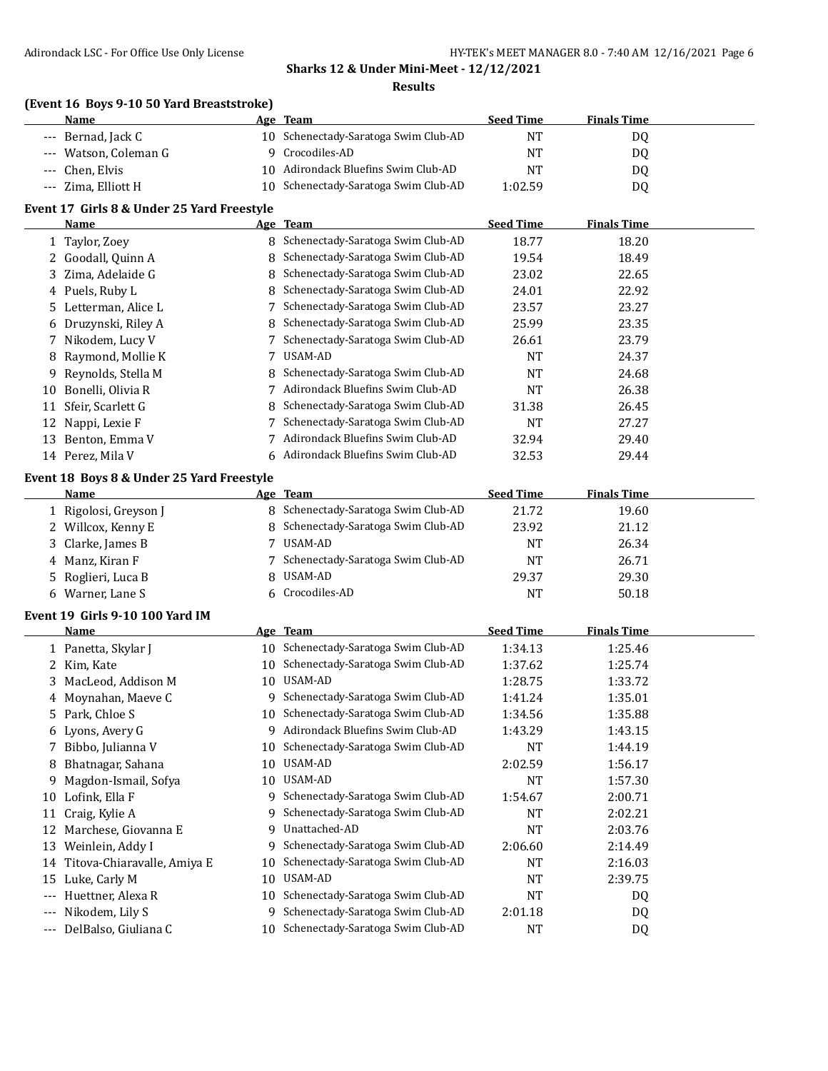## **(Event 16 Boys 9-10 50 Yard Breaststroke)**

| Name                  | Age Team                             | <b>Seed Time</b> | <b>Finals Time</b> |  |
|-----------------------|--------------------------------------|------------------|--------------------|--|
| --- Bernad, Jack C    | 10 Schenectady-Saratoga Swim Club-AD | NT               | DO.                |  |
| --- Watson, Coleman G | Crocodiles-AD                        | NT               | D0                 |  |
| --- Chen, Elvis       | 10 Adirondack Bluefins Swim Club-AD  | NT               | D0                 |  |
| --- Zima, Elliott H   | 10 Schenectady-Saratoga Swim Club-AD | 1:02.59          | D <sub>0</sub>     |  |

## **Event 17 Girls 8 & Under 25 Yard Freestyle**

|    | Name                 |   | Age Team                            | <b>Seed Time</b> | <b>Finals Time</b> |  |
|----|----------------------|---|-------------------------------------|------------------|--------------------|--|
|    | 1 Taylor, Zoey       | 8 | Schenectady-Saratoga Swim Club-AD   | 18.77            | 18.20              |  |
|    | 2 Goodall, Quinn A   |   | 8 Schenectady-Saratoga Swim Club-AD | 19.54            | 18.49              |  |
|    | 3 Zima. Adelaide G   | 8 | Schenectady-Saratoga Swim Club-AD   | 23.02            | 22.65              |  |
|    | 4 Puels, Ruby L      |   | 8 Schenectady-Saratoga Swim Club-AD | 24.01            | 22.92              |  |
|    | 5 Letterman, Alice L |   | Schenectady-Saratoga Swim Club-AD   | 23.57            | 23.27              |  |
|    | 6 Druzynski, Riley A |   | 8 Schenectady-Saratoga Swim Club-AD | 25.99            | 23.35              |  |
|    | 7 Nikodem, Lucy V    |   | Schenectady-Saratoga Swim Club-AD   | 26.61            | 23.79              |  |
|    | 8 Raymond, Mollie K  |   | USAM-AD                             | <b>NT</b>        | 24.37              |  |
| 9  | Reynolds, Stella M   |   | 8 Schenectady-Saratoga Swim Club-AD | <b>NT</b>        | 24.68              |  |
| 10 | Bonelli, Olivia R    |   | Adirondack Bluefins Swim Club-AD    | <b>NT</b>        | 26.38              |  |
| 11 | Sfeir, Scarlett G    |   | 8 Schenectady-Saratoga Swim Club-AD | 31.38            | 26.45              |  |
| 12 | Nappi, Lexie F       |   | Schenectady-Saratoga Swim Club-AD   | <b>NT</b>        | 27.27              |  |
| 13 | Benton, Emma V       |   | Adirondack Bluefins Swim Club-AD    | 32.94            | 29.40              |  |
|    | 14 Perez, Mila V     |   | 6 Adirondack Bluefins Swim Club-AD  | 32.53            | 29.44              |  |

#### **Event 18 Boys 8 & Under 25 Yard Freestyle**

| Name                  | Age Team                            | <b>Seed Time</b> | <b>Finals Time</b> |  |
|-----------------------|-------------------------------------|------------------|--------------------|--|
| 1 Rigolosi, Greyson J | 8 Schenectady-Saratoga Swim Club-AD | 21.72            | 19.60              |  |
| 2 Willcox, Kenny E    | 8 Schenectady-Saratoga Swim Club-AD | 23.92            | 21.12              |  |
| 3 Clarke, James B     | USAM-AD                             | NT               | 26.34              |  |
| 4 Manz, Kiran F       | 7 Schenectady-Saratoga Swim Club-AD | <b>NT</b>        | 26.71              |  |
| 5 Roglieri, Luca B    | 8 USAM-AD                           | 29.37            | 29.30              |  |
| 6 Warner, Lane S      | 6 Crocodiles-AD                     | NT               | 50.18              |  |

#### **Event 19 Girls 9-10 100 Yard IM**

|              | Name                           |    | Age Team                          | <b>Seed Time</b> | <b>Finals Time</b> |  |
|--------------|--------------------------------|----|-----------------------------------|------------------|--------------------|--|
|              | 1 Panetta, Skylar J            | 10 | Schenectady-Saratoga Swim Club-AD | 1:34.13          | 1:25.46            |  |
| $\mathbf{Z}$ | Kim, Kate                      | 10 | Schenectady-Saratoga Swim Club-AD | 1:37.62          | 1:25.74            |  |
|              | 3 MacLeod, Addison M           | 10 | USAM-AD                           | 1:28.75          | 1:33.72            |  |
|              | 4 Moynahan, Maeve C            | 9  | Schenectady-Saratoga Swim Club-AD | 1:41.24          | 1:35.01            |  |
|              | 5 Park, Chloe S                | 10 | Schenectady-Saratoga Swim Club-AD | 1:34.56          | 1:35.88            |  |
|              | 6 Lyons, Avery G               | q  | Adirondack Bluefins Swim Club-AD  | 1:43.29          | 1:43.15            |  |
|              | Bibbo, Julianna V              | 10 | Schenectady-Saratoga Swim Club-AD | <b>NT</b>        | 1:44.19            |  |
| 8            | Bhatnagar, Sahana              | 10 | USAM-AD                           | 2:02.59          | 1:56.17            |  |
| 9            | Magdon-Ismail, Sofya           | 10 | USAM-AD                           | NT               | 1:57.30            |  |
| 10           | Lofink, Ella F                 | 9. | Schenectady-Saratoga Swim Club-AD | 1:54.67          | 2:00.71            |  |
| 11           | Craig, Kylie A                 | 9  | Schenectady-Saratoga Swim Club-AD | NT               | 2:02.21            |  |
| 12           | Marchese, Giovanna E           | 9  | Unattached-AD                     | NT               | 2:03.76            |  |
| 13           | Weinlein, Addy I               | 9  | Schenectady-Saratoga Swim Club-AD | 2:06.60          | 2:14.49            |  |
|              | 14 Titova-Chiaravalle, Amiya E | 10 | Schenectady-Saratoga Swim Club-AD | NT               | 2:16.03            |  |
| 15           | Luke, Carly M                  | 10 | USAM-AD                           | <b>NT</b>        | 2:39.75            |  |
| $---$        | Huettner, Alexa R              | 10 | Schenectady-Saratoga Swim Club-AD | NT               | DQ                 |  |
| $---$        | Nikodem, Lily S                | q  | Schenectady-Saratoga Swim Club-AD | 2:01.18          | DQ                 |  |
| $---$        | DelBalso, Giuliana C           | 10 | Schenectady-Saratoga Swim Club-AD | NT               | DQ                 |  |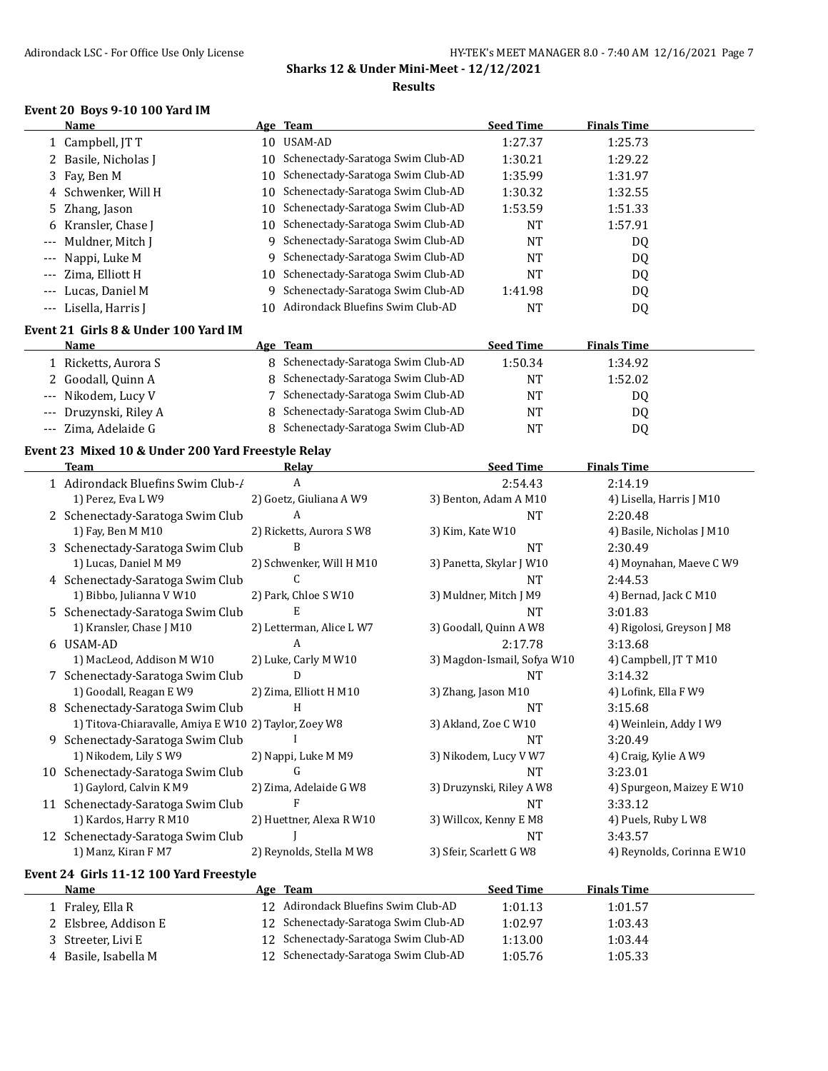#### **Event 20 Boys 9-10 100 Yard IM**

|       | Name                  |    | Age Team                             | <b>Seed Time</b> | <b>Finals Time</b> |  |
|-------|-----------------------|----|--------------------------------------|------------------|--------------------|--|
|       | 1 Campbell, JT T      | 10 | USAM-AD                              | 1:27.37          | 1:25.73            |  |
|       | 2 Basile, Nicholas J  | 10 | Schenectady-Saratoga Swim Club-AD    | 1:30.21          | 1:29.22            |  |
|       | 3 Fay, Ben M          |    | 10 Schenectady-Saratoga Swim Club-AD | 1:35.99          | 1:31.97            |  |
|       | 4 Schwenker, Will H   |    | 10 Schenectady-Saratoga Swim Club-AD | 1:30.32          | 1:32.55            |  |
|       | 5 Zhang, Jason        |    | 10 Schenectady-Saratoga Swim Club-AD | 1:53.59          | 1:51.33            |  |
|       | 6 Kransler, Chase J   |    | 10 Schenectady-Saratoga Swim Club-AD | NT               | 1:57.91            |  |
|       | --- Muldner, Mitch J  |    | 9 Schenectady-Saratoga Swim Club-AD  | NT               | DQ                 |  |
|       | --- Nappi, Luke M     |    | 9 Schenectady-Saratoga Swim Club-AD  | NT               | DQ                 |  |
| $---$ | Zima, Elliott H       |    | 10 Schenectady-Saratoga Swim Club-AD | NT               | DQ                 |  |
| $---$ | Lucas, Daniel M       | Q. | Schenectady-Saratoga Swim Club-AD    | 1:41.98          | DQ                 |  |
|       | --- Lisella, Harris J | 10 | Adirondack Bluefins Swim Club-AD     | NT               | DQ                 |  |

#### **Event 21 Girls 8 & Under 100 Yard IM**

| Name                   | Age Team                            | <b>Seed Time</b> | <b>Finals Time</b> |  |
|------------------------|-------------------------------------|------------------|--------------------|--|
| Ricketts, Aurora S     | 8 Schenectady-Saratoga Swim Club-AD | 1:50.34          | 1:34.92            |  |
| 2 Goodall, Quinn A     | 8 Schenectady-Saratoga Swim Club-AD | NΤ               | 1:52.02            |  |
| --- Nikodem, Lucy V    | 7 Schenectady-Saratoga Swim Club-AD | NT               | DQ                 |  |
| --- Druzynski, Riley A | 8 Schenectady-Saratoga Swim Club-AD | NT               | D <sub>0</sub>     |  |
| Zima, Adelaide G       | 8 Schenectady-Saratoga Swim Club-AD | NT               | D <sub>0</sub>     |  |

## **Event 23 Mixed 10 & Under 200 Yard Freestyle Relay**

|    | <b>Team</b>                                           | Relav                    | <b>Seed Time</b>            | <b>Finals Time</b>         |
|----|-------------------------------------------------------|--------------------------|-----------------------------|----------------------------|
|    | 1 Adirondack Bluefins Swim Club-/                     | A                        | 2:54.43                     | 2:14.19                    |
|    | 1) Perez, Eva L W9                                    | 2) Goetz, Giuliana A W9  | 3) Benton, Adam A M10       | 4) Lisella, Harris J M10   |
|    | 2 Schenectady-Saratoga Swim Club                      | A                        | <b>NT</b>                   | 2:20.48                    |
|    | 1) Fay, Ben M M10                                     | 2) Ricketts, Aurora S W8 | 3) Kim, Kate W10            | 4) Basile, Nicholas J M10  |
|    | 3 Schenectady-Saratoga Swim Club                      | B                        | <b>NT</b>                   | 2:30.49                    |
|    | 1) Lucas, Daniel M M9                                 | 2) Schwenker, Will H M10 | 3) Panetta, Skylar J W10    | 4) Moynahan, Maeve C W9    |
|    | 4 Schenectady-Saratoga Swim Club                      | C                        | <b>NT</b>                   | 2:44.53                    |
|    | 1) Bibbo, Julianna V W10                              | 2) Park, Chloe S W10     | 3) Muldner, Mitch J M9      | 4) Bernad, Jack C M10      |
|    | 5 Schenectady-Saratoga Swim Club                      | E                        | <b>NT</b>                   | 3:01.83                    |
|    | 1) Kransler, Chase J M10                              | 2) Letterman, Alice L W7 | 3) Goodall, Quinn A W8      | 4) Rigolosi, Greyson J M8  |
|    | 6 USAM-AD                                             | A                        | 2:17.78                     | 3:13.68                    |
|    | 1) MacLeod, Addison M W10                             | 2) Luke, Carly M W10     | 3) Magdon-Ismail, Sofya W10 | 4) Campbell, JT T M10      |
|    | Schenectady-Saratoga Swim Club                        | D                        | <b>NT</b>                   | 3:14.32                    |
|    | 1) Goodall, Reagan E W9                               | 2) Zima, Elliott H M10   | 3) Zhang, Jason M10         | 4) Lofink, Ella F W9       |
| 8  | Schenectady-Saratoga Swim Club                        | н                        | <b>NT</b>                   | 3:15.68                    |
|    | 1) Titova-Chiaravalle, Amiya E W10 2) Taylor, Zoey W8 |                          | 3) Akland, Zoe C W10        | 4) Weinlein, Addy I W9     |
| 9. | Schenectady-Saratoga Swim Club                        |                          | NT                          | 3:20.49                    |
|    | 1) Nikodem, Lily SW9                                  | 2) Nappi, Luke M M9      | 3) Nikodem, Lucy V W7       | 4) Craig, Kylie A W9       |
| 10 | Schenectady-Saratoga Swim Club                        | G                        | <b>NT</b>                   | 3:23.01                    |
|    | 1) Gaylord, Calvin K M9                               | 2) Zima, Adelaide G W8   | 3) Druzynski, Riley A W8    | 4) Spurgeon, Maizey E W10  |
|    | 11 Schenectady-Saratoga Swim Club                     |                          | <b>NT</b>                   | 3:33.12                    |
|    | 1) Kardos, Harry R M10                                | 2) Huettner, Alexa R W10 | 3) Willcox, Kenny E M8      | 4) Puels, Ruby L W8        |
|    | 12 Schenectady-Saratoga Swim Club                     |                          | <b>NT</b>                   | 3:43.57                    |
|    | 1) Manz, Kiran F M7                                   | 2) Reynolds, Stella M W8 | 3) Sfeir, Scarlett G W8     | 4) Reynolds, Corinna E W10 |

#### **Event 24 Girls 11-12 100 Yard Freestyle**

 $\overline{\phantom{0}}$ 

| <b>Name</b>          | Age Team                             | <b>Seed Time</b> | <b>Finals Time</b> |  |
|----------------------|--------------------------------------|------------------|--------------------|--|
| 1 Fraley, Ella R     | 12 Adirondack Bluefins Swim Club-AD  | 1:01.13          | 1:01.57            |  |
| 2 Elsbree, Addison E | 12 Schenectady-Saratoga Swim Club-AD | 1:02.97          | 1:03.43            |  |
| 3 Streeter, Livi E   | 12 Schenectady-Saratoga Swim Club-AD | 1:13.00          | 1:03.44            |  |
| 4 Basile, Isabella M | 12 Schenectady-Saratoga Swim Club-AD | 1:05.76          | 1:05.33            |  |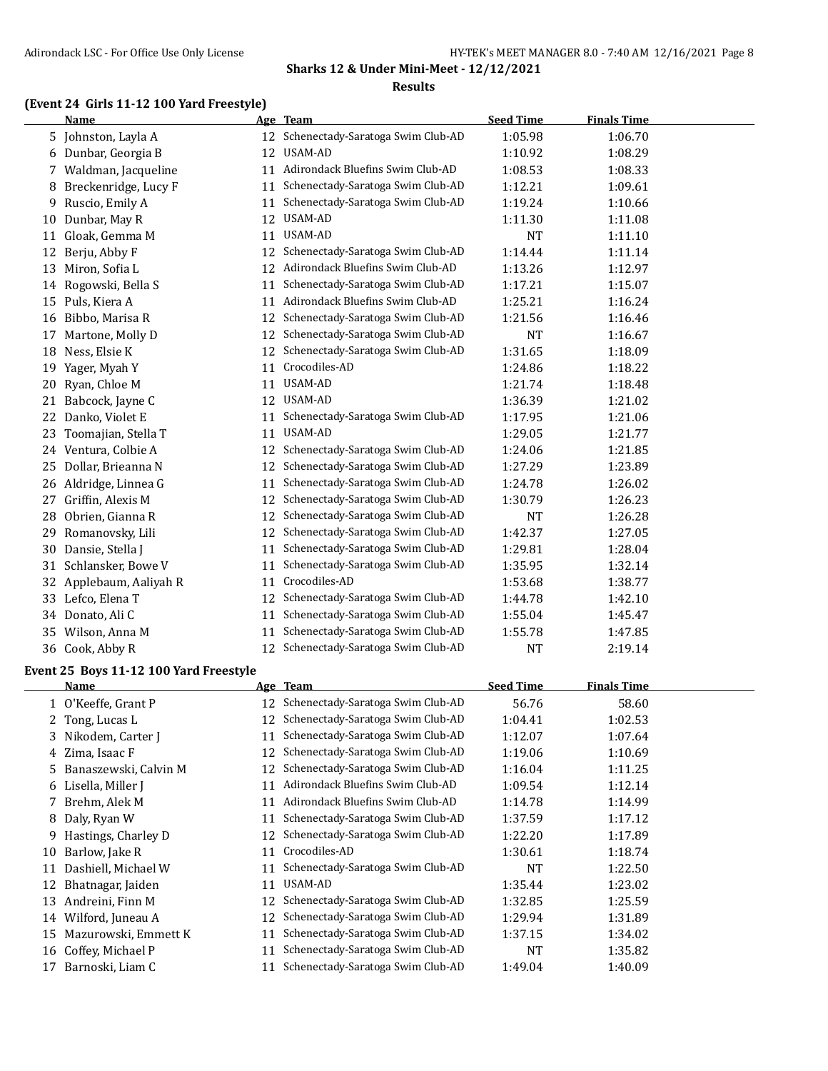## **(Event 24 Girls 11-12 100 Yard Freestyle)**

|    | Name                 |    | Age Team                             | <b>Seed Time</b> | <b>Finals Time</b> |  |
|----|----------------------|----|--------------------------------------|------------------|--------------------|--|
| 5. | Johnston, Layla A    | 12 | Schenectady-Saratoga Swim Club-AD    | 1:05.98          | 1:06.70            |  |
| 6  | Dunbar, Georgia B    | 12 | USAM-AD                              | 1:10.92          | 1:08.29            |  |
| 7  | Waldman, Jacqueline  | 11 | Adirondack Bluefins Swim Club-AD     | 1:08.53          | 1:08.33            |  |
| 8  | Breckenridge, Lucy F | 11 | Schenectady-Saratoga Swim Club-AD    | 1:12.21          | 1:09.61            |  |
| 9  | Ruscio, Emily A      | 11 | Schenectady-Saratoga Swim Club-AD    | 1:19.24          | 1:10.66            |  |
| 10 | Dunbar, May R        | 12 | USAM-AD                              | 1:11.30          | 1:11.08            |  |
| 11 | Gloak, Gemma M       | 11 | USAM-AD                              | <b>NT</b>        | 1:11.10            |  |
| 12 | Berju, Abby F        | 12 | Schenectady-Saratoga Swim Club-AD    | 1:14.44          | 1:11.14            |  |
| 13 | Miron, Sofia L       | 12 | Adirondack Bluefins Swim Club-AD     | 1:13.26          | 1:12.97            |  |
| 14 | Rogowski, Bella S    | 11 | Schenectady-Saratoga Swim Club-AD    | 1:17.21          | 1:15.07            |  |
| 15 | Puls, Kiera A        | 11 | Adirondack Bluefins Swim Club-AD     | 1:25.21          | 1:16.24            |  |
| 16 | Bibbo, Marisa R      | 12 | Schenectady-Saratoga Swim Club-AD    | 1:21.56          | 1:16.46            |  |
| 17 | Martone, Molly D     | 12 | Schenectady-Saratoga Swim Club-AD    | <b>NT</b>        | 1:16.67            |  |
| 18 | Ness, Elsie K        | 12 | Schenectady-Saratoga Swim Club-AD    | 1:31.65          | 1:18.09            |  |
| 19 | Yager, Myah Y        | 11 | Crocodiles-AD                        | 1:24.86          | 1:18.22            |  |
| 20 | Ryan, Chloe M        | 11 | USAM-AD                              | 1:21.74          | 1:18.48            |  |
| 21 | Babcock, Jayne C     | 12 | USAM-AD                              | 1:36.39          | 1:21.02            |  |
| 22 | Danko, Violet E      | 11 | Schenectady-Saratoga Swim Club-AD    | 1:17.95          | 1:21.06            |  |
| 23 | Toomajian, Stella T  | 11 | USAM-AD                              | 1:29.05          | 1:21.77            |  |
| 24 | Ventura, Colbie A    | 12 | Schenectady-Saratoga Swim Club-AD    | 1:24.06          | 1:21.85            |  |
| 25 | Dollar, Brieanna N   | 12 | Schenectady-Saratoga Swim Club-AD    | 1:27.29          | 1:23.89            |  |
| 26 | Aldridge, Linnea G   | 11 | Schenectady-Saratoga Swim Club-AD    | 1:24.78          | 1:26.02            |  |
| 27 | Griffin, Alexis M    | 12 | Schenectady-Saratoga Swim Club-AD    | 1:30.79          | 1:26.23            |  |
| 28 | Obrien, Gianna R     | 12 | Schenectady-Saratoga Swim Club-AD    | NT               | 1:26.28            |  |
| 29 | Romanovsky, Lili     | 12 | Schenectady-Saratoga Swim Club-AD    | 1:42.37          | 1:27.05            |  |
| 30 | Dansie, Stella J     | 11 | Schenectady-Saratoga Swim Club-AD    | 1:29.81          | 1:28.04            |  |
| 31 | Schlansker, Bowe V   | 11 | Schenectady-Saratoga Swim Club-AD    | 1:35.95          | 1:32.14            |  |
| 32 | Applebaum, Aaliyah R | 11 | Crocodiles-AD                        | 1:53.68          | 1:38.77            |  |
| 33 | Lefco, Elena T       | 12 | Schenectady-Saratoga Swim Club-AD    | 1:44.78          | 1:42.10            |  |
|    | 34 Donato, Ali C     | 11 | Schenectady-Saratoga Swim Club-AD    | 1:55.04          | 1:45.47            |  |
| 35 | Wilson, Anna M       | 11 | Schenectady-Saratoga Swim Club-AD    | 1:55.78          | 1:47.85            |  |
|    | 36 Cook, Abby R      |    | 12 Schenectady-Saratoga Swim Club-AD | <b>NT</b>        | 2:19.14            |  |

#### **Event 25 Boys 11-12 100 Yard Freestyle**

|    | Name                    |    | Age Team                          | <b>Seed Time</b> | <b>Finals Time</b> |  |
|----|-------------------------|----|-----------------------------------|------------------|--------------------|--|
|    | 1 O'Keeffe, Grant P     | 12 | Schenectady-Saratoga Swim Club-AD | 56.76            | 58.60              |  |
|    | 2 Tong, Lucas L         | 12 | Schenectady-Saratoga Swim Club-AD | 1:04.41          | 1:02.53            |  |
|    | 3 Nikodem, Carter J     | 11 | Schenectady-Saratoga Swim Club-AD | 1:12.07          | 1:07.64            |  |
|    | 4 Zima, Isaac F         | 12 | Schenectady-Saratoga Swim Club-AD | 1:19.06          | 1:10.69            |  |
|    | 5 Banaszewski, Calvin M | 12 | Schenectady-Saratoga Swim Club-AD | 1:16.04          | 1:11.25            |  |
|    | 6 Lisella, Miller J     | 11 | Adirondack Bluefins Swim Club-AD  | 1:09.54          | 1:12.14            |  |
|    | 7 Brehm, Alek M         | 11 | Adirondack Bluefins Swim Club-AD  | 1:14.78          | 1:14.99            |  |
| 8  | Daly, Ryan W            | 11 | Schenectady-Saratoga Swim Club-AD | 1:37.59          | 1:17.12            |  |
| 9  | Hastings, Charley D     | 12 | Schenectady-Saratoga Swim Club-AD | 1:22.20          | 1:17.89            |  |
| 10 | Barlow, Jake R          | 11 | Crocodiles-AD                     | 1:30.61          | 1:18.74            |  |
| 11 | Dashiell, Michael W     | 11 | Schenectady-Saratoga Swim Club-AD | <b>NT</b>        | 1:22.50            |  |
| 12 | Bhatnagar, Jaiden       | 11 | USAM-AD                           | 1:35.44          | 1:23.02            |  |
| 13 | Andreini, Finn M        | 12 | Schenectady-Saratoga Swim Club-AD | 1:32.85          | 1:25.59            |  |
| 14 | Wilford, Juneau A       | 12 | Schenectady-Saratoga Swim Club-AD | 1:29.94          | 1:31.89            |  |
| 15 | Mazurowski, Emmett K    | 11 | Schenectady-Saratoga Swim Club-AD | 1:37.15          | 1:34.02            |  |
| 16 | Coffey, Michael P       | 11 | Schenectady-Saratoga Swim Club-AD | <b>NT</b>        | 1:35.82            |  |
| 17 | Barnoski, Liam C        |    | Schenectady-Saratoga Swim Club-AD | 1:49.04          | 1:40.09            |  |
|    |                         |    |                                   |                  |                    |  |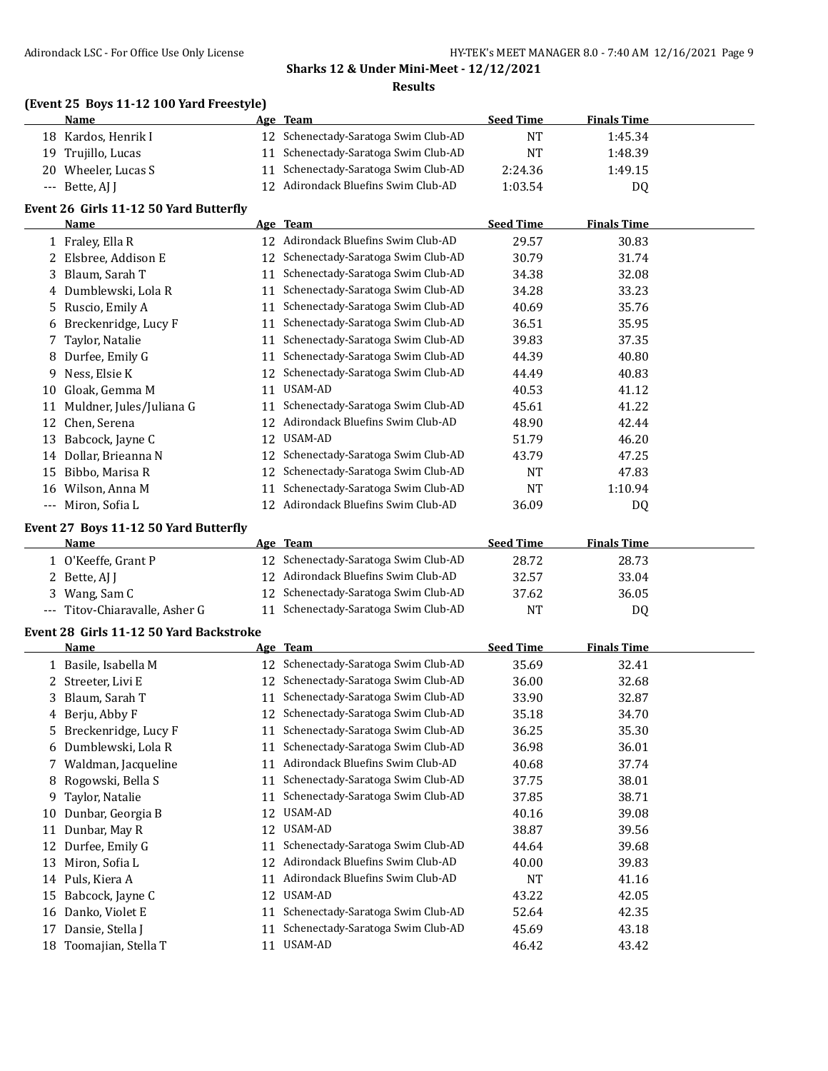## **(Event 25 Boys 11-12 100 Yard Freestyle)**

| <b>Name</b>         | Age Team                             | <b>Seed Time</b> | <b>Finals Time</b> |
|---------------------|--------------------------------------|------------------|--------------------|
| 18 Kardos, Henrik I | 12 Schenectady-Saratoga Swim Club-AD | NT               | 1:45.34            |
| 19 Trujillo, Lucas  | 11 Schenectady-Saratoga Swim Club-AD | <b>NT</b>        | 1:48.39            |
| 20 Wheeler, Lucas S | 11 Schenectady-Saratoga Swim Club-AD | 2:24.36          | 1:49.15            |
| $-$ Bette, AJ I     | 12 Adirondack Bluefins Swim Club-AD  | 1:03.54          | DQ                 |

#### **Event 26 Girls 11-12 50 Yard Butterfly**

|       | Name                     |    | Age Team                          | <b>Seed Time</b> | <b>Finals Time</b> |  |
|-------|--------------------------|----|-----------------------------------|------------------|--------------------|--|
|       | 1 Fraley, Ella R         | 12 | Adirondack Bluefins Swim Club-AD  | 29.57            | 30.83              |  |
|       | 2 Elsbree, Addison E     | 12 | Schenectady-Saratoga Swim Club-AD | 30.79            | 31.74              |  |
|       | 3 Blaum, Sarah T         | 11 | Schenectady-Saratoga Swim Club-AD | 34.38            | 32.08              |  |
|       | 4 Dumblewski, Lola R     | 11 | Schenectady-Saratoga Swim Club-AD | 34.28            | 33.23              |  |
|       | 5 Ruscio, Emily A        |    | Schenectady-Saratoga Swim Club-AD | 40.69            | 35.76              |  |
|       | 6 Breckenridge, Lucy F   | 11 | Schenectady-Saratoga Swim Club-AD | 36.51            | 35.95              |  |
|       | 7 Taylor, Natalie        | 11 | Schenectady-Saratoga Swim Club-AD | 39.83            | 37.35              |  |
| 8     | Durfee, Emily G          | 11 | Schenectady-Saratoga Swim Club-AD | 44.39            | 40.80              |  |
| 9.    | Ness, Elsie K            | 12 | Schenectady-Saratoga Swim Club-AD | 44.49            | 40.83              |  |
| 10    | Gloak, Gemma M           | 11 | USAM-AD                           | 40.53            | 41.12              |  |
| 11    | Muldner, Jules/Juliana G | 11 | Schenectady-Saratoga Swim Club-AD | 45.61            | 41.22              |  |
| 12    | Chen, Serena             | 12 | Adirondack Bluefins Swim Club-AD  | 48.90            | 42.44              |  |
| 13    | Babcock, Jayne C         | 12 | USAM-AD                           | 51.79            | 46.20              |  |
| 14    | Dollar, Brieanna N       | 12 | Schenectady-Saratoga Swim Club-AD | 43.79            | 47.25              |  |
| 15    | Bibbo, Marisa R          | 12 | Schenectady-Saratoga Swim Club-AD | NT               | 47.83              |  |
| 16    | Wilson, Anna M           | 11 | Schenectady-Saratoga Swim Club-AD | NT               | 1:10.94            |  |
| $---$ | Miron, Sofia L           | 12 | Adirondack Bluefins Swim Club-AD  | 36.09            | DQ                 |  |

#### **Event 27 Boys 11-12 50 Yard Butterfly**

| Name                           | Age Team                             | <b>Seed Time</b> | <b>Finals Time</b> |  |
|--------------------------------|--------------------------------------|------------------|--------------------|--|
| ∟ O'Keeffe, Grant P            | 12 Schenectady-Saratoga Swim Club-AD | 28.72            | 28.73              |  |
| 2 Bette, AI I                  | 12 Adirondack Bluefins Swim Club-AD  | 32.57            | 33.04              |  |
| 3 Wang, Sam C                  | 12 Schenectady-Saratoga Swim Club-AD | 37.62            | 36.05              |  |
| --- Titov-Chiaravalle, Asher G | 11 Schenectady-Saratoga Swim Club-AD | NT               | D0                 |  |

#### **Event 28 Girls 11-12 50 Yard Backstroke**

|    | Name                   |    | Age Team                          | <b>Seed Time</b> | <b>Finals Time</b> |
|----|------------------------|----|-----------------------------------|------------------|--------------------|
|    | 1 Basile, Isabella M   | 12 | Schenectady-Saratoga Swim Club-AD | 35.69            | 32.41              |
|    | 2 Streeter, Livi E     | 12 | Schenectady-Saratoga Swim Club-AD | 36.00            | 32.68              |
|    | 3 Blaum, Sarah T       | 11 | Schenectady-Saratoga Swim Club-AD | 33.90            | 32.87              |
|    | 4 Berju, Abby F        | 12 | Schenectady-Saratoga Swim Club-AD | 35.18            | 34.70              |
|    | 5 Breckenridge, Lucy F | 11 | Schenectady-Saratoga Swim Club-AD | 36.25            | 35.30              |
|    | 6 Dumblewski, Lola R   | 11 | Schenectady-Saratoga Swim Club-AD | 36.98            | 36.01              |
|    | 7 Waldman, Jacqueline  | 11 | Adirondack Bluefins Swim Club-AD  | 40.68            | 37.74              |
| 8  | Rogowski, Bella S      | 11 | Schenectady-Saratoga Swim Club-AD | 37.75            | 38.01              |
| 9  | Taylor, Natalie        | 11 | Schenectady-Saratoga Swim Club-AD | 37.85            | 38.71              |
| 10 | Dunbar, Georgia B      | 12 | USAM-AD                           | 40.16            | 39.08              |
| 11 | Dunbar, May R          | 12 | USAM-AD                           | 38.87            | 39.56              |
| 12 | Durfee, Emily G        | 11 | Schenectady-Saratoga Swim Club-AD | 44.64            | 39.68              |
| 13 | Miron, Sofia L         | 12 | Adirondack Bluefins Swim Club-AD  | 40.00            | 39.83              |
|    | 14 Puls, Kiera A       | 11 | Adirondack Bluefins Swim Club-AD  | NT               | 41.16              |
| 15 | Babcock, Jayne C       | 12 | USAM-AD                           | 43.22            | 42.05              |
| 16 | Danko, Violet E        | 11 | Schenectady-Saratoga Swim Club-AD | 52.64            | 42.35              |
| 17 | Dansie, Stella J       | 11 | Schenectady-Saratoga Swim Club-AD | 45.69            | 43.18              |
| 18 | Toomajian, Stella T    | 11 | USAM-AD                           | 46.42            | 43.42              |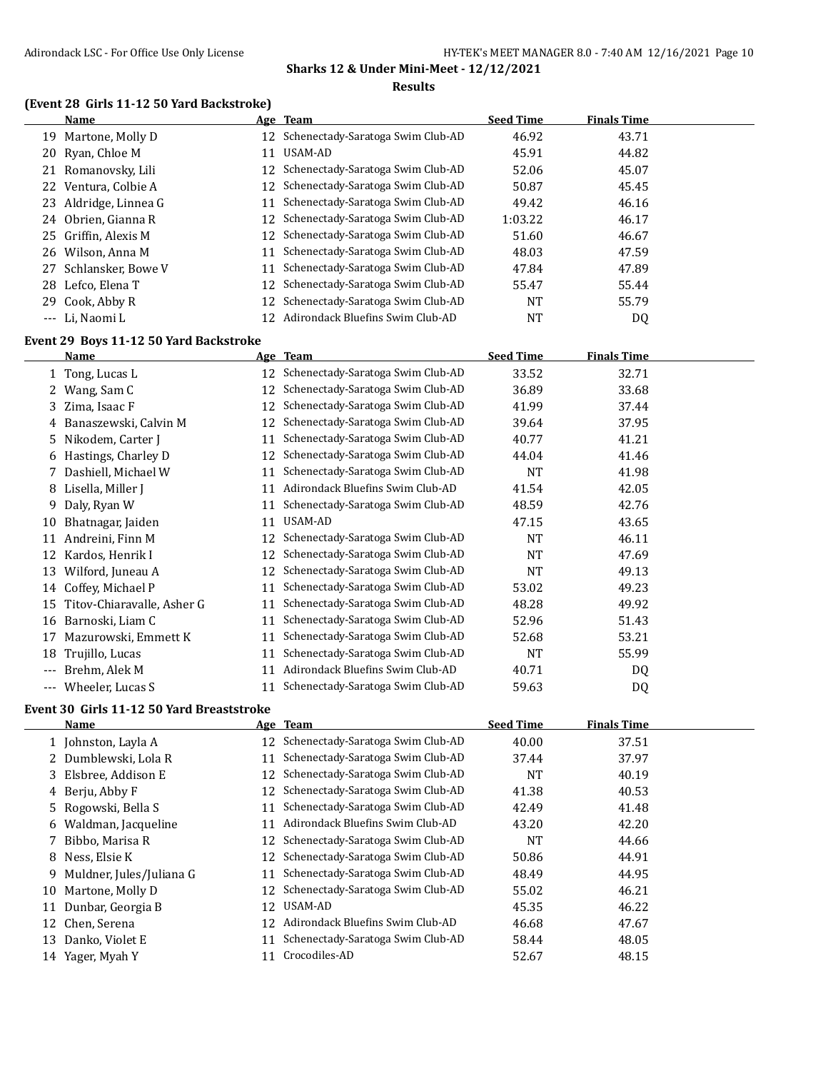## **(Event 28 Girls 11-12 50 Yard Backstroke)**

| Name                  |    | Age Team                             | <b>Seed Time</b> | <b>Finals Time</b> |  |
|-----------------------|----|--------------------------------------|------------------|--------------------|--|
| 19 Martone, Molly D   |    | 12 Schenectady-Saratoga Swim Club-AD | 46.92            | 43.71              |  |
| 20 Ryan, Chloe M      | 11 | USAM-AD                              | 45.91            | 44.82              |  |
| 21 Romanovsky, Lili   |    | 12 Schenectady-Saratoga Swim Club-AD | 52.06            | 45.07              |  |
| 22 Ventura, Colbie A  |    | 12 Schenectady-Saratoga Swim Club-AD | 50.87            | 45.45              |  |
| 23 Aldridge, Linnea G |    | 11 Schenectady-Saratoga Swim Club-AD | 49.42            | 46.16              |  |
| 24 Obrien, Gianna R   |    | 12 Schenectady-Saratoga Swim Club-AD | 1:03.22          | 46.17              |  |
| 25 Griffin. Alexis M  |    | 12 Schenectady-Saratoga Swim Club-AD | 51.60            | 46.67              |  |
| 26 Wilson, Anna M     | 11 | Schenectady-Saratoga Swim Club-AD    | 48.03            | 47.59              |  |
| 27 Schlansker, Bowe V | 11 | Schenectady-Saratoga Swim Club-AD    | 47.84            | 47.89              |  |
| 28 Lefco, Elena T     |    | 12 Schenectady-Saratoga Swim Club-AD | 55.47            | 55.44              |  |
| 29 Cook, Abby R       |    | 12 Schenectady-Saratoga Swim Club-AD | NT               | 55.79              |  |
| --- Li, Naomi L       |    | 12 Adirondack Bluefins Swim Club-AD  | NT               | DQ                 |  |

## **Event 29 Boys 11-12 50 Yard Backstroke**

|       | Name                       |    | Age Team                             | <b>Seed Time</b> | <b>Finals Time</b> |  |
|-------|----------------------------|----|--------------------------------------|------------------|--------------------|--|
|       | 1 Tong, Lucas L            |    | 12 Schenectady-Saratoga Swim Club-AD | 33.52            | 32.71              |  |
|       | Wang, Sam C                | 12 | Schenectady-Saratoga Swim Club-AD    | 36.89            | 33.68              |  |
| 3.    | Zima, Isaac F              | 12 | Schenectady-Saratoga Swim Club-AD    | 41.99            | 37.44              |  |
| 4     | Banaszewski, Calvin M      | 12 | Schenectady-Saratoga Swim Club-AD    | 39.64            | 37.95              |  |
| 5.    | Nikodem, Carter J          | 11 | Schenectady-Saratoga Swim Club-AD    | 40.77            | 41.21              |  |
| 6     | Hastings, Charley D        | 12 | Schenectady-Saratoga Swim Club-AD    | 44.04            | 41.46              |  |
|       | Dashiell, Michael W        | 11 | Schenectady-Saratoga Swim Club-AD    | <b>NT</b>        | 41.98              |  |
| 8     | Lisella, Miller J          | 11 | Adirondack Bluefins Swim Club-AD     | 41.54            | 42.05              |  |
| 9.    | Daly, Ryan W               | 11 | Schenectady-Saratoga Swim Club-AD    | 48.59            | 42.76              |  |
| 10    | Bhatnagar, Jaiden          | 11 | USAM-AD                              | 47.15            | 43.65              |  |
| 11    | Andreini, Finn M           | 12 | Schenectady-Saratoga Swim Club-AD    | <b>NT</b>        | 46.11              |  |
| 12    | Kardos, Henrik I           | 12 | Schenectady-Saratoga Swim Club-AD    | <b>NT</b>        | 47.69              |  |
| 13    | Wilford, Juneau A          |    | Schenectady-Saratoga Swim Club-AD    | NT               | 49.13              |  |
| 14    | Coffey, Michael P          | 11 | Schenectady-Saratoga Swim Club-AD    | 53.02            | 49.23              |  |
| 15    | Titov-Chiaravalle, Asher G | 11 | Schenectady-Saratoga Swim Club-AD    | 48.28            | 49.92              |  |
| 16    | Barnoski, Liam C           | 11 | Schenectady-Saratoga Swim Club-AD    | 52.96            | 51.43              |  |
| 17    | Mazurowski, Emmett K       | 11 | Schenectady-Saratoga Swim Club-AD    | 52.68            | 53.21              |  |
| 18    | Trujillo, Lucas            | 11 | Schenectady-Saratoga Swim Club-AD    | NT               | 55.99              |  |
| ---   | Brehm, Alek M              | 11 | Adirondack Bluefins Swim Club-AD     | 40.71            | DQ                 |  |
| $---$ | Wheeler, Lucas S           | 11 | Schenectady-Saratoga Swim Club-AD    | 59.63            | DQ                 |  |

## **Event 30 Girls 11-12 50 Yard Breaststroke**

|     | Name                       |    | Age Team                             | <b>Seed Time</b> | <b>Finals Time</b> |
|-----|----------------------------|----|--------------------------------------|------------------|--------------------|
|     | 1 Johnston, Layla A        |    | 12 Schenectady-Saratoga Swim Club-AD | 40.00            | 37.51              |
|     | 2 Dumblewski, Lola R       | 11 | Schenectady-Saratoga Swim Club-AD    | 37.44            | 37.97              |
|     | 3 Elsbree, Addison E       |    | 12 Schenectady-Saratoga Swim Club-AD | <b>NT</b>        | 40.19              |
|     | 4 Berju, Abby F            |    | 12 Schenectady-Saratoga Swim Club-AD | 41.38            | 40.53              |
|     | 5 Rogowski, Bella S        |    | Schenectady-Saratoga Swim Club-AD    | 42.49            | 41.48              |
|     | 6 Waldman, Jacqueline      | 11 | Adirondack Bluefins Swim Club-AD     | 43.20            | 42.20              |
|     | 7 Bibbo, Marisa R          |    | 12 Schenectady-Saratoga Swim Club-AD | <b>NT</b>        | 44.66              |
|     | 8 Ness, Elsie K            |    | 12 Schenectady-Saratoga Swim Club-AD | 50.86            | 44.91              |
|     | 9 Muldner, Jules/Juliana G |    | Schenectady-Saratoga Swim Club-AD    | 48.49            | 44.95              |
| 10  | Martone, Molly D           |    | 12 Schenectady-Saratoga Swim Club-AD | 55.02            | 46.21              |
| 11  | Dunbar, Georgia B          | 12 | USAM-AD                              | 45.35            | 46.22              |
|     | 12 Chen, Serena            | 12 | Adirondack Bluefins Swim Club-AD     | 46.68            | 47.67              |
| 13. | Danko, Violet E            | 11 | Schenectady-Saratoga Swim Club-AD    | 58.44            | 48.05              |
| 14  | Yager, Myah Y              |    | Crocodiles-AD                        | 52.67            | 48.15              |
|     |                            |    |                                      |                  |                    |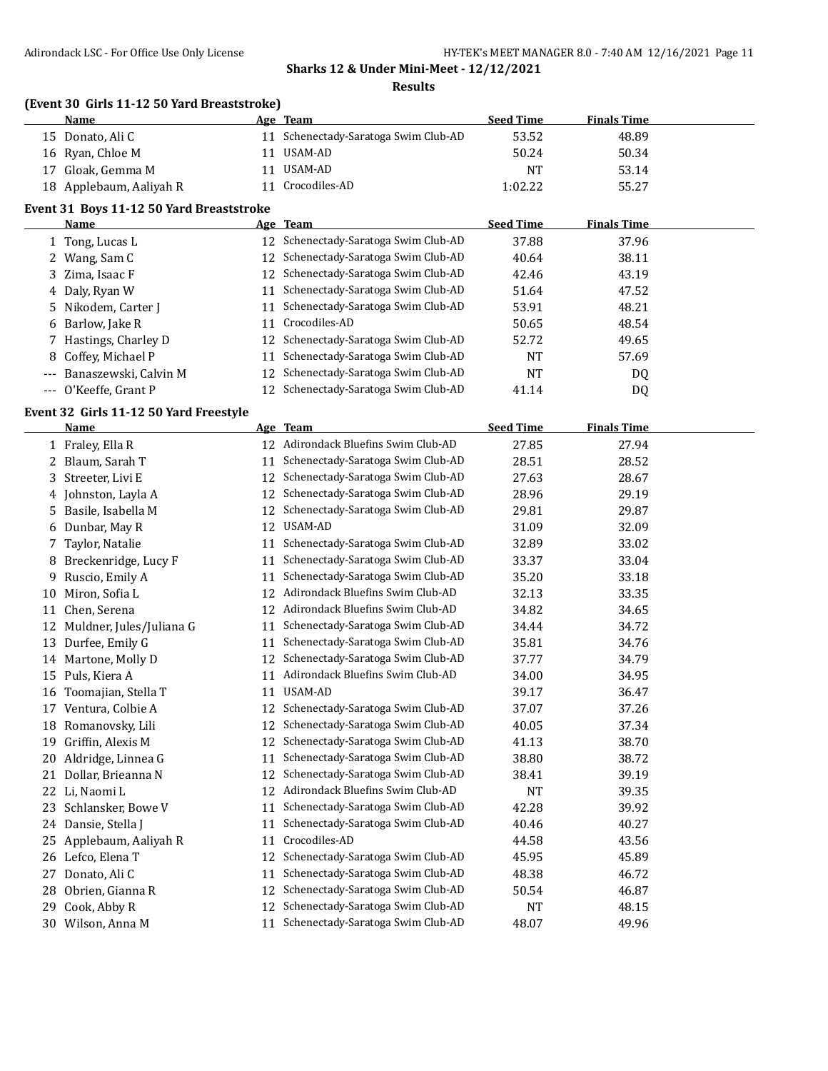#### **Results**

## **(Event 30 Girls 11-12 50 Yard Breaststroke)**

| Name                    | Age Team                             | <b>Seed Time</b> | <b>Finals Time</b> |  |
|-------------------------|--------------------------------------|------------------|--------------------|--|
| 15 Donato, Ali C        | 11 Schenectady-Saratoga Swim Club-AD | 53.52            | 48.89              |  |
| 16 Ryan, Chloe M        | 11 USAM-AD                           | 50.24            | 50.34              |  |
| 17 Gloak, Gemma M       | 11 USAM-AD                           | NT.              | 53.14              |  |
| 18 Applebaum, Aaliyah R | 11 Crocodiles-AD                     | 1:02.22          | 55.27              |  |

#### **Event 31 Boys 11-12 50 Yard Breaststroke**

| <b>Name</b>               |    | Age Team                             | <b>Seed Time</b> | <b>Finals Time</b> |
|---------------------------|----|--------------------------------------|------------------|--------------------|
| 1 Tong, Lucas L           |    | 12 Schenectady-Saratoga Swim Club-AD | 37.88            | 37.96              |
| 2 Wang, Sam C             |    | 12 Schenectady-Saratoga Swim Club-AD | 40.64            | 38.11              |
| 3 Zima, Isaac F           |    | 12 Schenectady-Saratoga Swim Club-AD | 42.46            | 43.19              |
| 4 Daly, Ryan W            |    | 11 Schenectady-Saratoga Swim Club-AD | 51.64            | 47.52              |
| 5 Nikodem, Carter J       | 11 | Schenectady-Saratoga Swim Club-AD    | 53.91            | 48.21              |
| 6 Barlow, Jake R          | 11 | Crocodiles-AD                        | 50.65            | 48.54              |
| 7 Hastings, Charley D     |    | 12 Schenectady-Saratoga Swim Club-AD | 52.72            | 49.65              |
| 8 Coffey, Michael P       |    | 11 Schenectady-Saratoga Swim Club-AD | <b>NT</b>        | 57.69              |
| --- Banaszewski, Calvin M |    | 12 Schenectady-Saratoga Swim Club-AD | NT               | DQ                 |
| --- O'Keeffe, Grant P     |    | 12 Schenectady-Saratoga Swim Club-AD | 41.14            | DQ                 |

## **Event 32 Girls 11-12 50 Yard Freestyle**

|    | <b>Name</b>              |    | Age Team                            | <b>Seed Time</b> | <b>Finals Time</b> |  |
|----|--------------------------|----|-------------------------------------|------------------|--------------------|--|
|    | 1 Fraley, Ella R         |    | 12 Adirondack Bluefins Swim Club-AD | 27.85            | 27.94              |  |
|    | 2 Blaum, Sarah T         | 11 | Schenectady-Saratoga Swim Club-AD   | 28.51            | 28.52              |  |
| 3  | Streeter, Livi E         | 12 | Schenectady-Saratoga Swim Club-AD   | 27.63            | 28.67              |  |
|    | 4 Johnston, Layla A      | 12 | Schenectady-Saratoga Swim Club-AD   | 28.96            | 29.19              |  |
| 5. | Basile, Isabella M       | 12 | Schenectady-Saratoga Swim Club-AD   | 29.81            | 29.87              |  |
| 6  | Dunbar, May R            | 12 | USAM-AD                             | 31.09            | 32.09              |  |
| 7. | Taylor, Natalie          | 11 | Schenectady-Saratoga Swim Club-AD   | 32.89            | 33.02              |  |
| 8  | Breckenridge, Lucy F     | 11 | Schenectady-Saratoga Swim Club-AD   | 33.37            | 33.04              |  |
| 9  | Ruscio, Emily A          | 11 | Schenectady-Saratoga Swim Club-AD   | 35.20            | 33.18              |  |
| 10 | Miron, Sofia L           | 12 | Adirondack Bluefins Swim Club-AD    | 32.13            | 33.35              |  |
| 11 | Chen, Serena             | 12 | Adirondack Bluefins Swim Club-AD    | 34.82            | 34.65              |  |
| 12 | Muldner, Jules/Juliana G | 11 | Schenectady-Saratoga Swim Club-AD   | 34.44            | 34.72              |  |
| 13 | Durfee, Emily G          | 11 | Schenectady-Saratoga Swim Club-AD   | 35.81            | 34.76              |  |
| 14 | Martone, Molly D         | 12 | Schenectady-Saratoga Swim Club-AD   | 37.77            | 34.79              |  |
| 15 | Puls, Kiera A            | 11 | Adirondack Bluefins Swim Club-AD    | 34.00            | 34.95              |  |
| 16 | Toomajian, Stella T      | 11 | USAM-AD                             | 39.17            | 36.47              |  |
| 17 | Ventura, Colbie A        | 12 | Schenectady-Saratoga Swim Club-AD   | 37.07            | 37.26              |  |
| 18 | Romanovsky, Lili         | 12 | Schenectady-Saratoga Swim Club-AD   | 40.05            | 37.34              |  |
| 19 | Griffin, Alexis M        | 12 | Schenectady-Saratoga Swim Club-AD   | 41.13            | 38.70              |  |
| 20 | Aldridge, Linnea G       | 11 | Schenectady-Saratoga Swim Club-AD   | 38.80            | 38.72              |  |
| 21 | Dollar, Brieanna N       | 12 | Schenectady-Saratoga Swim Club-AD   | 38.41            | 39.19              |  |
| 22 | Li, Naomi L              | 12 | Adirondack Bluefins Swim Club-AD    | <b>NT</b>        | 39.35              |  |
| 23 | Schlansker, Bowe V       | 11 | Schenectady-Saratoga Swim Club-AD   | 42.28            | 39.92              |  |
| 24 | Dansie, Stella J         | 11 | Schenectady-Saratoga Swim Club-AD   | 40.46            | 40.27              |  |
| 25 | Applebaum, Aaliyah R     | 11 | Crocodiles-AD                       | 44.58            | 43.56              |  |
| 26 | Lefco, Elena T           | 12 | Schenectady-Saratoga Swim Club-AD   | 45.95            | 45.89              |  |
| 27 | Donato, Ali C            | 11 | Schenectady-Saratoga Swim Club-AD   | 48.38            | 46.72              |  |
| 28 | Obrien, Gianna R         | 12 | Schenectady-Saratoga Swim Club-AD   | 50.54            | 46.87              |  |
| 29 | Cook, Abby R             | 12 | Schenectady-Saratoga Swim Club-AD   | <b>NT</b>        | 48.15              |  |
| 30 | Wilson, Anna M           | 11 | Schenectady-Saratoga Swim Club-AD   | 48.07            | 49.96              |  |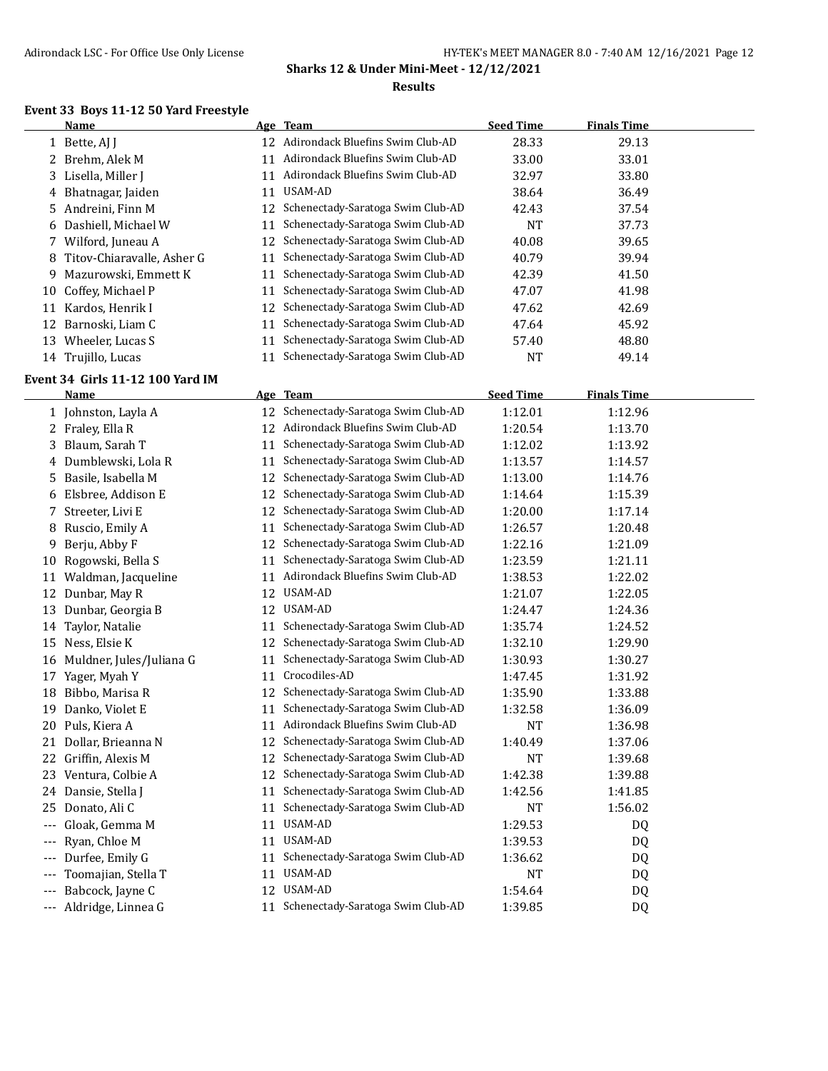## **Event 33 Boys 11-12 50 Yard Freestyle**

|       | <b>Name</b>                      |    | Age Team                             | <b>Seed Time</b> | <b>Finals Time</b> |  |
|-------|----------------------------------|----|--------------------------------------|------------------|--------------------|--|
|       | 1 Bette, AJ J                    |    | 12 Adirondack Bluefins Swim Club-AD  | 28.33            | 29.13              |  |
|       | 2 Brehm, Alek M                  |    | 11 Adirondack Bluefins Swim Club-AD  | 33.00            | 33.01              |  |
|       | 3 Lisella, Miller J              |    | 11 Adirondack Bluefins Swim Club-AD  | 32.97            | 33.80              |  |
|       | 4 Bhatnagar, Jaiden              |    | 11 USAM-AD                           | 38.64            | 36.49              |  |
|       | 5 Andreini, Finn M               |    | 12 Schenectady-Saratoga Swim Club-AD | 42.43            | 37.54              |  |
|       | 6 Dashiell, Michael W            | 11 | Schenectady-Saratoga Swim Club-AD    | <b>NT</b>        | 37.73              |  |
| 7     | Wilford, Juneau A                | 12 | Schenectady-Saratoga Swim Club-AD    | 40.08            | 39.65              |  |
| 8     | Titov-Chiaravalle, Asher G       | 11 | Schenectady-Saratoga Swim Club-AD    | 40.79            | 39.94              |  |
| 9     | Mazurowski, Emmett K             | 11 | Schenectady-Saratoga Swim Club-AD    | 42.39            | 41.50              |  |
| 10    | Coffey, Michael P                | 11 | Schenectady-Saratoga Swim Club-AD    | 47.07            | 41.98              |  |
|       | 11 Kardos, Henrik I              |    | 12 Schenectady-Saratoga Swim Club-AD | 47.62            | 42.69              |  |
| 12    | Barnoski, Liam C                 | 11 | Schenectady-Saratoga Swim Club-AD    | 47.64            | 45.92              |  |
|       | 13 Wheeler, Lucas S              | 11 | Schenectady-Saratoga Swim Club-AD    | 57.40            | 48.80              |  |
|       | 14 Trujillo, Lucas               |    | 11 Schenectady-Saratoga Swim Club-AD | <b>NT</b>        | 49.14              |  |
|       |                                  |    |                                      |                  |                    |  |
|       | Event 34 Girls 11-12 100 Yard IM |    |                                      |                  |                    |  |
|       | <u>Name</u>                      |    | Age Team                             | <b>Seed Time</b> | <b>Finals Time</b> |  |
|       | 1 Johnston, Layla A              |    | 12 Schenectady-Saratoga Swim Club-AD | 1:12.01          | 1:12.96            |  |
|       | 2 Fraley, Ella R                 |    | 12 Adirondack Bluefins Swim Club-AD  | 1:20.54          | 1:13.70            |  |
|       | 3 Blaum, Sarah T                 | 11 | Schenectady-Saratoga Swim Club-AD    | 1:12.02          | 1:13.92            |  |
|       | 4 Dumblewski, Lola R             | 11 | Schenectady-Saratoga Swim Club-AD    | 1:13.57          | 1:14.57            |  |
| 5.    | Basile, Isabella M               | 12 | Schenectady-Saratoga Swim Club-AD    | 1:13.00          | 1:14.76            |  |
|       | 6 Elsbree, Addison E             | 12 | Schenectady-Saratoga Swim Club-AD    | 1:14.64          | 1:15.39            |  |
|       | 7 Streeter, Livi E               | 12 | Schenectady-Saratoga Swim Club-AD    | 1:20.00          | 1:17.14            |  |
|       | 8 Ruscio, Emily A                | 11 | Schenectady-Saratoga Swim Club-AD    | 1:26.57          | 1:20.48            |  |
| 9     | Berju, Abby F                    | 12 | Schenectady-Saratoga Swim Club-AD    | 1:22.16          | 1:21.09            |  |
|       | 10 Rogowski, Bella S             | 11 | Schenectady-Saratoga Swim Club-AD    | 1:23.59          | 1:21.11            |  |
|       | 11 Waldman, Jacqueline           | 11 | Adirondack Bluefins Swim Club-AD     | 1:38.53          | 1:22.02            |  |
|       | 12 Dunbar, May R                 |    | 12 USAM-AD                           | 1:21.07          | 1:22.05            |  |
| 13    | Dunbar, Georgia B                |    | 12 USAM-AD                           | 1:24.47          | 1:24.36            |  |
| 14    | Taylor, Natalie                  |    | 11 Schenectady-Saratoga Swim Club-AD | 1:35.74          | 1:24.52            |  |
|       | 15 Ness, Elsie K                 |    | 12 Schenectady-Saratoga Swim Club-AD | 1:32.10          | 1:29.90            |  |
|       | 16 Muldner, Jules/Juliana G      | 11 | Schenectady-Saratoga Swim Club-AD    | 1:30.93          | 1:30.27            |  |
| 17    | Yager, Myah Y                    | 11 | Crocodiles-AD                        | 1:47.45          | 1:31.92            |  |
|       | 18 Bibbo, Marisa R               |    | 12 Schenectady-Saratoga Swim Club-AD | 1:35.90          | 1:33.88            |  |
|       | 19 Danko, Violet E               |    | 11 Schenectady-Saratoga Swim Club-AD | 1:32.58          | 1:36.09            |  |
|       | 20 Puls, Kiera A                 |    | 11 Adirondack Bluefins Swim Club-AD  | $\rm{NT}$        | 1:36.98            |  |
|       | 21 Dollar, Brieanna N            |    | 12 Schenectady-Saratoga Swim Club-AD | 1:40.49          | 1:37.06            |  |
|       | 22 Griffin, Alexis M             |    | 12 Schenectady-Saratoga Swim Club-AD | NT               | 1:39.68            |  |
|       | 23 Ventura, Colbie A             | 12 | Schenectady-Saratoga Swim Club-AD    | 1:42.38          | 1:39.88            |  |
|       | 24 Dansie, Stella J              | 11 | Schenectady-Saratoga Swim Club-AD    | 1:42.56          | 1:41.85            |  |
|       | 25 Donato, Ali C                 | 11 | Schenectady-Saratoga Swim Club-AD    | NT               | 1:56.02            |  |
| ---   | Gloak, Gemma M                   |    | 11 USAM-AD                           | 1:29.53          | DQ                 |  |
| ---   | Ryan, Chloe M                    |    | 11 USAM-AD                           | 1:39.53          | DQ                 |  |
| $---$ | Durfee, Emily G                  |    | 11 Schenectady-Saratoga Swim Club-AD | 1:36.62          | DQ                 |  |
| ---   | Toomajian, Stella T              |    | 11 USAM-AD                           | NT               | DQ                 |  |
| ---   | Babcock, Jayne C                 |    | 12 USAM-AD                           | 1:54.64          | DQ                 |  |
|       | --- Aldridge, Linnea G           |    | 11 Schenectady-Saratoga Swim Club-AD | 1:39.85          | DQ                 |  |
|       |                                  |    |                                      |                  |                    |  |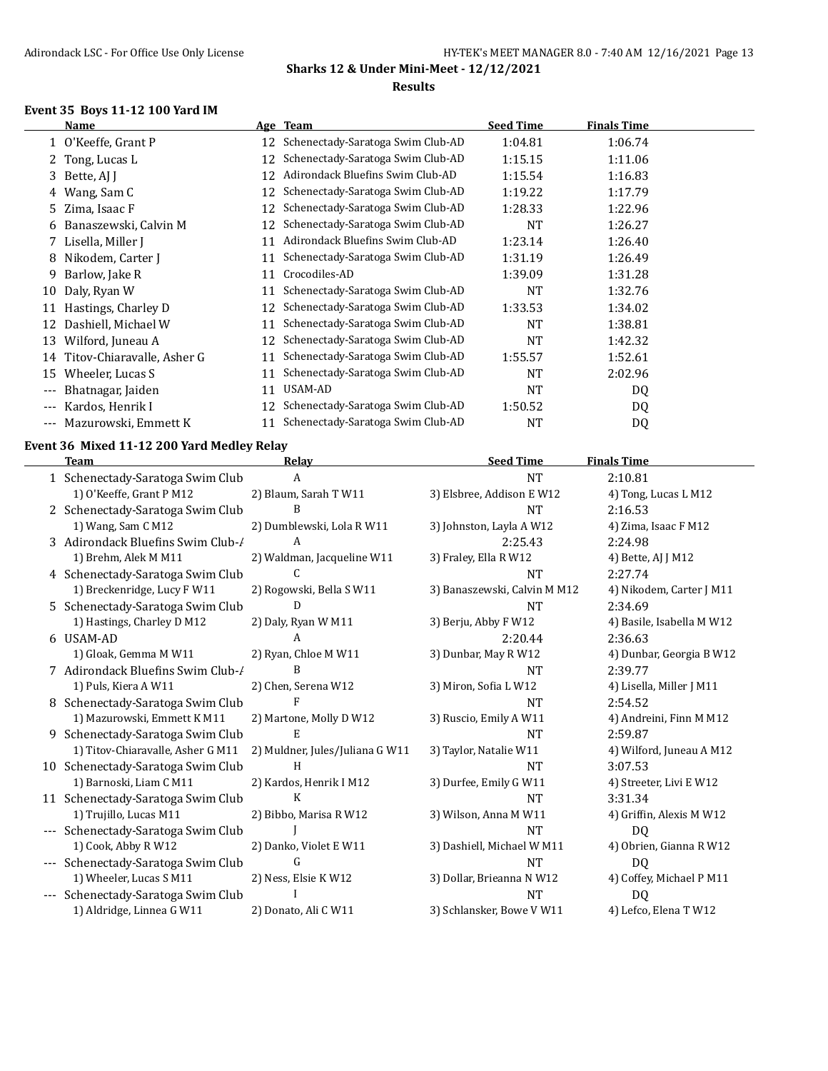## **Event 35 Boys 11-12 100 Yard IM**

 $\overline{a}$ 

| Name                  |                                                                                                                                   |                                   | <b>Seed Time</b> | <b>Finals Time</b> |  |
|-----------------------|-----------------------------------------------------------------------------------------------------------------------------------|-----------------------------------|------------------|--------------------|--|
|                       | 12                                                                                                                                | Schenectady-Saratoga Swim Club-AD | 1:04.81          | 1:06.74            |  |
|                       | 12                                                                                                                                | Schenectady-Saratoga Swim Club-AD | 1:15.15          | 1:11.06            |  |
| Bette, AJ J           | 12                                                                                                                                | Adirondack Bluefins Swim Club-AD  | 1:15.54          | 1:16.83            |  |
| Wang, Sam C           | 12                                                                                                                                | Schenectady-Saratoga Swim Club-AD | 1:19.22          | 1:17.79            |  |
| Zima, Isaac F         | 12                                                                                                                                | Schenectady-Saratoga Swim Club-AD | 1:28.33          | 1:22.96            |  |
| Banaszewski, Calvin M | 12                                                                                                                                | Schenectady-Saratoga Swim Club-AD | NT               | 1:26.27            |  |
| Lisella, Miller J     | 11                                                                                                                                | Adirondack Bluefins Swim Club-AD  | 1:23.14          | 1:26.40            |  |
| Nikodem, Carter J     | 11                                                                                                                                | Schenectady-Saratoga Swim Club-AD | 1:31.19          | 1:26.49            |  |
| Barlow, Jake R        | 11                                                                                                                                | Crocodiles-AD                     | 1:39.09          | 1:31.28            |  |
| Daly, Ryan W          | 11                                                                                                                                | Schenectady-Saratoga Swim Club-AD | NT               | 1:32.76            |  |
| Hastings, Charley D   | 12                                                                                                                                | Schenectady-Saratoga Swim Club-AD | 1:33.53          | 1:34.02            |  |
| Dashiell, Michael W   | 11                                                                                                                                | Schenectady-Saratoga Swim Club-AD | NT               | 1:38.81            |  |
| Wilford, Juneau A     | 12                                                                                                                                | Schenectady-Saratoga Swim Club-AD | <b>NT</b>        | 1:42.32            |  |
|                       | 11                                                                                                                                | Schenectady-Saratoga Swim Club-AD | 1:55.57          | 1:52.61            |  |
| Wheeler, Lucas S      | 11                                                                                                                                | Schenectady-Saratoga Swim Club-AD | NT               | 2:02.96            |  |
| Bhatnagar, Jaiden     | 11                                                                                                                                | USAM-AD                           | NT               | DQ                 |  |
| Kardos, Henrik I      | 12                                                                                                                                | Schenectady-Saratoga Swim Club-AD | 1:50.52          | DQ                 |  |
| Mazurowski, Emmett K  | 11                                                                                                                                | Schenectady-Saratoga Swim Club-AD | NT               | DQ                 |  |
| 9<br>$---$<br>---     | 1 O'Keeffe, Grant P<br>2 Tong, Lucas L<br>3<br>4<br>5<br>6<br>8<br>10<br>12<br>13<br>14 Titov-Chiaravalle, Asher G<br>15<br>$---$ |                                   | Age Team         |                    |  |

## **Event 36 Mixed 11-12 200 Yard Medley Relay**

|                     | <b>Team</b>                        | Relay                           | <b>Seed Time</b>             | <b>Finals Time</b>        |
|---------------------|------------------------------------|---------------------------------|------------------------------|---------------------------|
|                     | 1 Schenectady-Saratoga Swim Club   | A                               | <b>NT</b>                    | 2:10.81                   |
|                     | 1) O'Keeffe, Grant P M12           | 2) Blaum, Sarah T W11           | 3) Elsbree, Addison E W12    | 4) Tong, Lucas L M12      |
|                     | 2 Schenectady-Saratoga Swim Club   | B                               | <b>NT</b>                    | 2:16.53                   |
|                     | 1) Wang, Sam C M12                 | 2) Dumblewski, Lola R W11       | 3) Johnston, Layla A W12     | 4) Zima, Isaac F M12      |
|                     | 3 Adirondack Bluefins Swim Club-/  | A                               | 2:25.43                      | 2:24.98                   |
|                     | 1) Brehm, Alek M M11               | 2) Waldman, Jacqueline W11      | 3) Fraley, Ella R W12        | 4) Bette, AJ J M12        |
|                     | 4 Schenectady-Saratoga Swim Club   | C                               | <b>NT</b>                    | 2:27.74                   |
|                     | 1) Breckenridge, Lucy F W11        | 2) Rogowski, Bella S W11        | 3) Banaszewski, Calvin M M12 | 4) Nikodem, Carter J M11  |
|                     | 5 Schenectady-Saratoga Swim Club   | D                               | <b>NT</b>                    | 2:34.69                   |
|                     | 1) Hastings, Charley D M12         | 2) Daly, Ryan W M11             | 3) Berju, Abby F W12         | 4) Basile, Isabella M W12 |
|                     | 6 USAM-AD                          | A                               | 2:20.44                      | 2:36.63                   |
|                     | 1) Gloak, Gemma M W11              | 2) Ryan, Chloe M W11            | 3) Dunbar, May R W12         | 4) Dunbar, Georgia B W12  |
|                     | 7 Adirondack Bluefins Swim Club-/  | B                               | <b>NT</b>                    | 2:39.77                   |
|                     | 1) Puls, Kiera A W11               | 2) Chen, Serena W12             | 3) Miron, Sofia L W12        | 4) Lisella, Miller J M11  |
|                     | 8 Schenectady-Saratoga Swim Club   | F                               | <b>NT</b>                    | 2:54.52                   |
|                     | 1) Mazurowski, Emmett K M11        | 2) Martone, Molly D W12         | 3) Ruscio, Emily A W11       | 4) Andreini, Finn M M12   |
|                     | 9 Schenectady-Saratoga Swim Club   |                                 | <b>NT</b>                    | 2:59.87                   |
|                     | 1) Titov-Chiaravalle, Asher G M11  | 2) Muldner, Jules/Juliana G W11 | 3) Taylor, Natalie W11       | 4) Wilford, Juneau A M12  |
|                     | 10 Schenectady-Saratoga Swim Club  | H                               | <b>NT</b>                    | 3:07.53                   |
|                     | 1) Barnoski, Liam C M11            | 2) Kardos, Henrik I M12         | 3) Durfee, Emily G W11       | 4) Streeter, Livi E W12   |
|                     | 11 Schenectady-Saratoga Swim Club  | K                               | <b>NT</b>                    | 3:31.34                   |
|                     | 1) Trujillo, Lucas M11             | 2) Bibbo, Marisa R W12          | 3) Wilson, Anna M W11        | 4) Griffin, Alexis M W12  |
|                     | --- Schenectady-Saratoga Swim Club |                                 | <b>NT</b>                    | D <sub>0</sub>            |
|                     | 1) Cook, Abby R W12                | 2) Danko, Violet E W11          | 3) Dashiell, Michael W M11   | 4) Obrien, Gianna R W12   |
| $\qquad \qquad - -$ | Schenectady-Saratoga Swim Club     | G                               | <b>NT</b>                    | D <sub>0</sub>            |
|                     | 1) Wheeler, Lucas S M11            | 2) Ness, Elsie KW12             | 3) Dollar, Brieanna N W12    | 4) Coffey, Michael P M11  |
| ---                 | Schenectady-Saratoga Swim Club     |                                 | <b>NT</b>                    | D <sub>0</sub>            |
|                     | 1) Aldridge, Linnea G W11          | 2) Donato, Ali C W11            | 3) Schlansker, Bowe V W11    | 4) Lefco, Elena T W12     |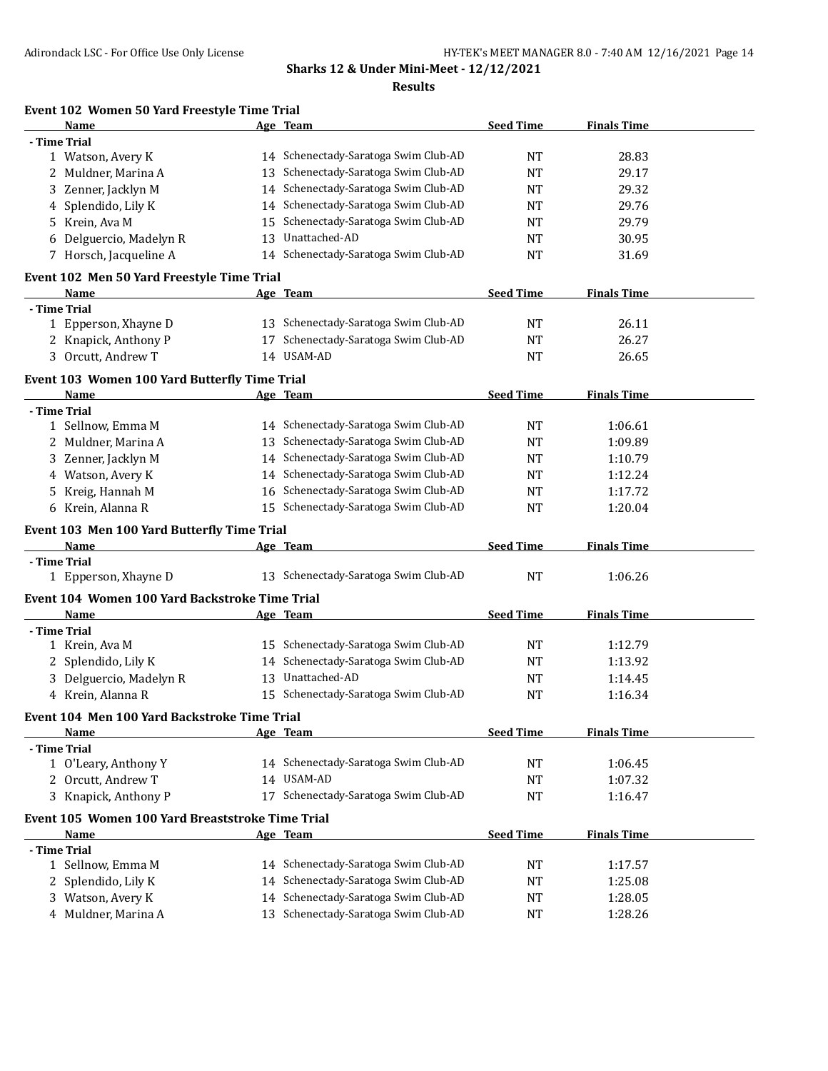#### **Results**

| Name                                             |    | Age Team                             | <b>Seed Time</b> | <b>Finals Time</b> |  |
|--------------------------------------------------|----|--------------------------------------|------------------|--------------------|--|
| - Time Trial                                     |    |                                      |                  |                    |  |
| 1 Watson, Avery K                                |    | 14 Schenectady-Saratoga Swim Club-AD | <b>NT</b>        | 28.83              |  |
| 2 Muldner, Marina A                              |    | 13 Schenectady-Saratoga Swim Club-AD | <b>NT</b>        | 29.17              |  |
| 3 Zenner, Jacklyn M                              |    | 14 Schenectady-Saratoga Swim Club-AD | NT               | 29.32              |  |
| 4 Splendido, Lily K                              |    | 14 Schenectady-Saratoga Swim Club-AD | NT               | 29.76              |  |
| 5 Krein, Ava M                                   | 15 | Schenectady-Saratoga Swim Club-AD    | <b>NT</b>        | 29.79              |  |
| Delguercio, Madelyn R<br>6                       | 13 | Unattached-AD                        | <b>NT</b>        | 30.95              |  |
| 7 Horsch, Jacqueline A                           | 14 | Schenectady-Saratoga Swim Club-AD    | NT               | 31.69              |  |
|                                                  |    |                                      |                  |                    |  |
| Event 102 Men 50 Yard Freestyle Time Trial       |    |                                      |                  |                    |  |
| Name                                             |    | Age Team                             | <b>Seed Time</b> | <b>Finals Time</b> |  |
| - Time Trial                                     |    |                                      |                  |                    |  |
| 1 Epperson, Xhayne D                             |    | 13 Schenectady-Saratoga Swim Club-AD | <b>NT</b>        | 26.11              |  |
| 2 Knapick, Anthony P                             | 17 | Schenectady-Saratoga Swim Club-AD    | <b>NT</b>        | 26.27              |  |
| 3 Orcutt, Andrew T                               |    | 14 USAM-AD                           | NT               | 26.65              |  |
| Event 103 Women 100 Yard Butterfly Time Trial    |    |                                      |                  |                    |  |
| Name                                             |    | Age Team                             | <b>Seed Time</b> | <b>Finals Time</b> |  |
| - Time Trial                                     |    |                                      |                  |                    |  |
| 1 Sellnow, Emma M                                |    | 14 Schenectady-Saratoga Swim Club-AD | <b>NT</b>        | 1:06.61            |  |
| 2 Muldner, Marina A                              |    | 13 Schenectady-Saratoga Swim Club-AD | <b>NT</b>        | 1:09.89            |  |
|                                                  |    | 14 Schenectady-Saratoga Swim Club-AD |                  |                    |  |
| 3 Zenner, Jacklyn M                              |    |                                      | NT               | 1:10.79            |  |
| 4 Watson, Avery K                                |    | 14 Schenectady-Saratoga Swim Club-AD | <b>NT</b>        | 1:12.24            |  |
| Kreig, Hannah M<br>5.                            | 16 | Schenectady-Saratoga Swim Club-AD    | NT               | 1:17.72            |  |
| 6 Krein, Alanna R                                |    | 15 Schenectady-Saratoga Swim Club-AD | <b>NT</b>        | 1:20.04            |  |
| Event 103 Men 100 Yard Butterfly Time Trial      |    |                                      |                  |                    |  |
| Name                                             |    | Age Team                             | <b>Seed Time</b> | <b>Finals Time</b> |  |
| - Time Trial                                     |    |                                      |                  |                    |  |
| 1 Epperson, Xhayne D                             |    | 13 Schenectady-Saratoga Swim Club-AD | <b>NT</b>        | 1:06.26            |  |
| Event 104 Women 100 Yard Backstroke Time Trial   |    |                                      |                  |                    |  |
| Name                                             |    | Age Team                             | <b>Seed Time</b> | <b>Finals Time</b> |  |
| - Time Trial                                     |    |                                      |                  |                    |  |
| 1 Krein, Ava M                                   |    | 15 Schenectady-Saratoga Swim Club-AD | <b>NT</b>        | 1:12.79            |  |
|                                                  |    | Schenectady-Saratoga Swim Club-AD    |                  |                    |  |
| 2 Splendido, Lily K                              | 14 |                                      | NT               | 1:13.92            |  |
| 3 Delguercio, Madelyn R                          | 13 | Unattached-AD                        | NT               | 1:14.45            |  |
| 4 Krein, Alanna R                                |    | 15 Schenectady-Saratoga Swim Club-AD | <b>NT</b>        | 1:16.34            |  |
| Event 104 Men 100 Yard Backstroke Time Trial     |    |                                      |                  |                    |  |
| <b>Name</b>                                      |    | Age Team                             | <b>Seed Time</b> | <b>Finals Time</b> |  |
| - Time Trial                                     |    |                                      |                  |                    |  |
| 1 O'Leary, Anthony Y                             |    | 14 Schenectady-Saratoga Swim Club-AD | <b>NT</b>        | 1:06.45            |  |
| 2 Orcutt, Andrew T                               |    | 14 USAM-AD                           | <b>NT</b>        | 1:07.32            |  |
| 3 Knapick, Anthony P                             |    | 17 Schenectady-Saratoga Swim Club-AD | <b>NT</b>        | 1:16.47            |  |
|                                                  |    |                                      |                  |                    |  |
| Event 105 Women 100 Yard Breaststroke Time Trial |    |                                      |                  |                    |  |
| Name                                             |    | Age Team                             | <b>Seed Time</b> | <b>Finals Time</b> |  |
| - Time Trial                                     |    |                                      |                  |                    |  |
| 1 Sellnow, Emma M                                |    | 14 Schenectady-Saratoga Swim Club-AD | <b>NT</b>        | 1:17.57            |  |
| 2 Splendido, Lily K                              |    | 14 Schenectady-Saratoga Swim Club-AD | NT               | 1:25.08            |  |
| 3 Watson, Avery K                                |    | 14 Schenectady-Saratoga Swim Club-AD | NT               | 1:28.05            |  |
| 4 Muldner, Marina A                              |    | 13 Schenectady-Saratoga Swim Club-AD | <b>NT</b>        | 1:28.26            |  |